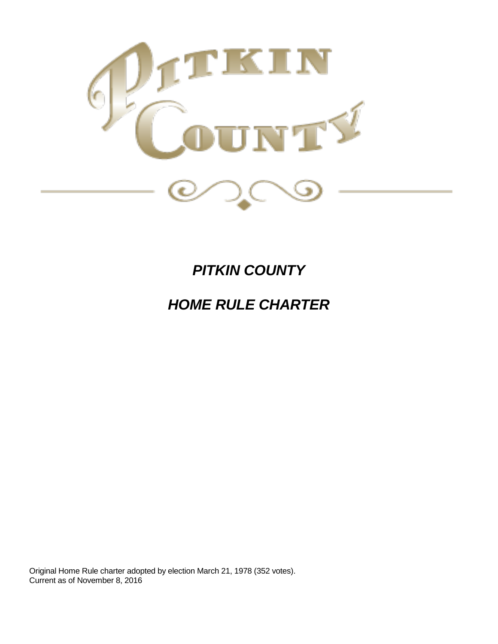

# *PITKIN COUNTY*

# *HOME RULE CHARTER*

Original Home Rule charter adopted by election March 21, 1978 (352 votes). Current as of November 8, 2016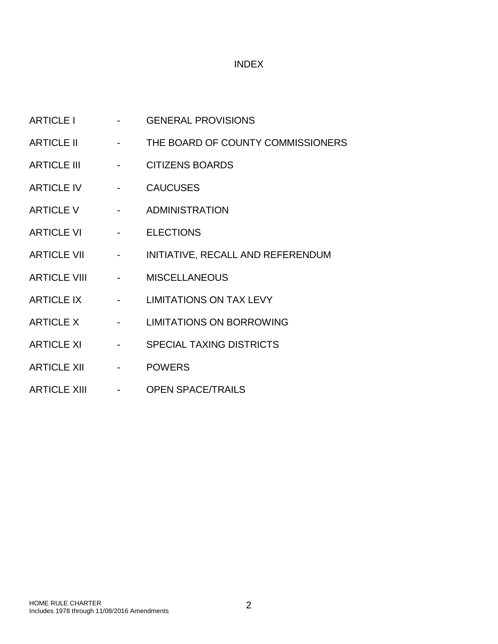# INDEX

| <b>ARTICLE I</b>    |                                             | <b>GENERAL PROVISIONS</b>         |
|---------------------|---------------------------------------------|-----------------------------------|
| <b>ARTICLE II</b>   |                                             | THE BOARD OF COUNTY COMMISSIONERS |
| <b>ARTICLE III</b>  |                                             | <b>CITIZENS BOARDS</b>            |
| <b>ARTICLE IV</b>   |                                             | <b>CAUCUSES</b>                   |
| <b>ARTICLE V</b>    |                                             | <b>ADMINISTRATION</b>             |
| <b>ARTICLE VI</b>   |                                             | <b>ELECTIONS</b>                  |
| <b>ARTICLE VII</b>  | $\omega_{\rm{max}}$ and $\omega_{\rm{max}}$ | INITIATIVE, RECALL AND REFERENDUM |
| <b>ARTICLE VIII</b> |                                             | <b>MISCELLANEOUS</b>              |
| <b>ARTICLE IX</b>   |                                             | <b>LIMITATIONS ON TAX LEVY</b>    |
| <b>ARTICLE X</b>    |                                             | <b>LIMITATIONS ON BORROWING</b>   |
| <b>ARTICLE XI</b>   |                                             | <b>SPECIAL TAXING DISTRICTS</b>   |
| <b>ARTICLE XII</b>  | $\overline{\phantom{a}}$                    | <b>POWERS</b>                     |
| <b>ARTICLE XIII</b> |                                             | <b>OPEN SPACE/TRAILS</b>          |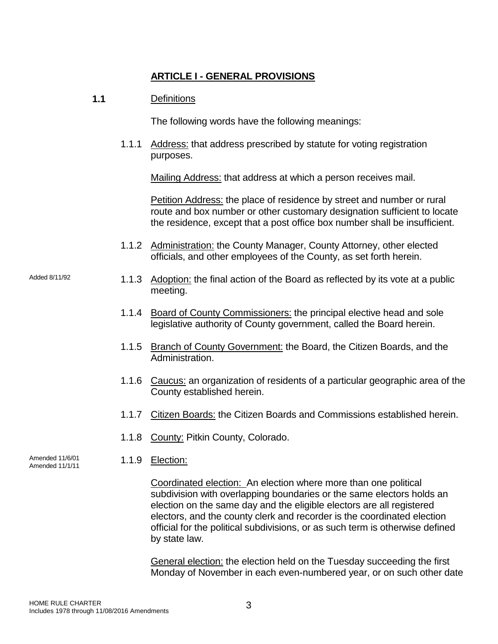# **ARTICLE I - GENERAL PROVISIONS**

# **1.1** Definitions

The following words have the following meanings:

1.1.1 Address: that address prescribed by statute for voting registration purposes.

Mailing Address: that address at which a person receives mail.

Petition Address: the place of residence by street and number or rural route and box number or other customary designation sufficient to locate the residence, except that a post office box number shall be insufficient.

- 1.1.2 Administration: the County Manager, County Attorney, other elected officials, and other employees of the County, as set forth herein.
- Added 8/11/92 1.1.3 Adoption: the final action of the Board as reflected by its vote at a public meeting.
	- 1.1.4 Board of County Commissioners: the principal elective head and sole legislative authority of County government, called the Board herein.
	- 1.1.5 Branch of County Government: the Board, the Citizen Boards, and the Administration.
	- 1.1.6 Caucus: an organization of residents of a particular geographic area of the County established herein.
	- 1.1.7 Citizen Boards: the Citizen Boards and Commissions established herein.
	- 1.1.8 County: Pitkin County, Colorado.
	- 1.1.9 Election:

Coordinated election: An election where more than one political subdivision with overlapping boundaries or the same electors holds an election on the same day and the eligible electors are all registered electors, and the county clerk and recorder is the coordinated election official for the political subdivisions, or as such term is otherwise defined by state law.

General election: the election held on the Tuesday succeeding the first Monday of November in each even-numbered year, or on such other date

Amended 11/6/01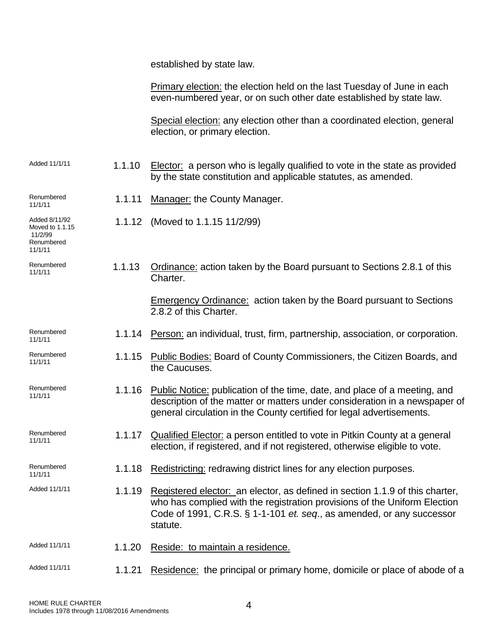established by state law.

1.1.12 (Moved to 1.1.15 11/2/99)

2.8.2 of this Charter.

the Caucuses.

Charter.

Primary election: the election held on the last Tuesday of June in each even-numbered year, or on such other date established by state law.

Special election: any election other than a coordinated election, general election, or primary election.

1.1.13 Ordinance: action taken by the Board pursuant to Sections 2.8.1 of this

1.1.14 Person: an individual, trust, firm, partnership, association, or corporation.

1.1.15 Public Bodies: Board of County Commissioners, the Citizen Boards, and

general circulation in the County certified for legal advertisements.

election, if registered, and if not registered, otherwise eligible to vote.

1.1.17 Qualified Elector: a person entitled to vote in Pitkin County at a general

Emergency Ordinance: action taken by the Board pursuant to Sections

description of the matter or matters under consideration in a newspaper of

 $A$ dded 11/1/11 1.1.10 Elector: a person who is legally qualified to vote in the state as provided by the state constitution and applicable statutes, as amended.

Renumbered Renumbered **1.1.11** Manager: the County Manager.

Added 8/11/92 Moved to 1.1.15 11/2/99 Renumbered 11/1/11

Renumbered<br>11/1/11

Renumbered<br>11/1/11

Renumbered<br>11/1/11

Renumbered Renumbered **1.1.16** Public Notice: publication of the time, date, and place of a meeting, and natural and

Renumbered<br>11/1/11

Renumbered<br>11/1/11

1.1.18 Redistricting: redrawing district lines for any election purposes.

Added 11/1/11 1.1.19 Registered elector: an elector, as defined in section 1.1.9 of this charter, who has complied with the registration provisions of the Uniform Election Code of 1991, C.R.S. § 1-1-101 *et. seq*., as amended, or any successor statute.

Added 11/1/11 1.1.20 Reside: to maintain a residence.

Added 11/1/11 1.1.21 Residence: the principal or primary home, domicile or place of abode of a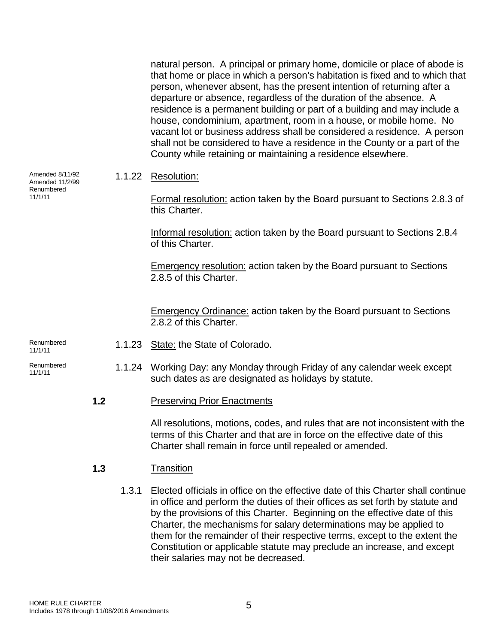natural person. A principal or primary home, domicile or place of abode is that home or place in which a person's habitation is fixed and to which that person, whenever absent, has the present intention of returning after a departure or absence, regardless of the duration of the absence. A residence is a permanent building or part of a building and may include a house, condominium, apartment, room in a house, or mobile home. No vacant lot or business address shall be considered a residence. A person shall not be considered to have a residence in the County or a part of the County while retaining or maintaining a residence elsewhere. Amended 8/11/92 Amended 11/2/99 Renumbered 11/1/11 1.1.22 Resolution: Formal resolution: action taken by the Board pursuant to Sections 2.8.3 of this Charter. Informal resolution: action taken by the Board pursuant to Sections 2.8.4 of this Charter. **Emergency resolution:** action taken by the Board pursuant to Sections 2.8.5 of this Charter. **Emergency Ordinance: action taken by the Board pursuant to Sections** 2.8.2 of this Charter. Renumbered<br>11/1/11 1.1.23 State: the State of Colorado. Renumbered <sup>Renumbered</sup> 1.1.24 <u>Working Day:</u> any Monday through Friday of any calendar week except such dates as are designated as holidays by statute. **1.2** Preserving Prior Enactments All resolutions, motions, codes, and rules that are not inconsistent with the terms of this Charter and that are in force on the effective date of this Charter shall remain in force until repealed or amended. **1.3** Transition

1.3.1 Elected officials in office on the effective date of this Charter shall continue in office and perform the duties of their offices as set forth by statute and by the provisions of this Charter. Beginning on the effective date of this Charter, the mechanisms for salary determinations may be applied to them for the remainder of their respective terms, except to the extent the Constitution or applicable statute may preclude an increase, and except their salaries may not be decreased.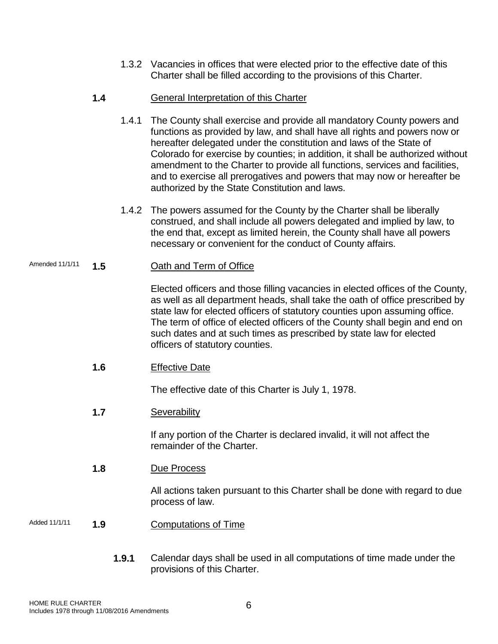1.3.2 Vacancies in offices that were elected prior to the effective date of this Charter shall be filled according to the provisions of this Charter.

# **1.4** General Interpretation of this Charter

- 1.4.1 The County shall exercise and provide all mandatory County powers and functions as provided by law, and shall have all rights and powers now or hereafter delegated under the constitution and laws of the State of Colorado for exercise by counties; in addition, it shall be authorized without amendment to the Charter to provide all functions, services and facilities, and to exercise all prerogatives and powers that may now or hereafter be authorized by the State Constitution and laws.
- 1.4.2 The powers assumed for the County by the Charter shall be liberally construed, and shall include all powers delegated and implied by law, to the end that, except as limited herein, the County shall have all powers necessary or convenient for the conduct of County affairs.

# Amended 11/1/11 **1.5** Oath and Term of Office

Elected officers and those filling vacancies in elected offices of the County, as well as all department heads, shall take the oath of office prescribed by state law for elected officers of statutory counties upon assuming office. The term of office of elected officers of the County shall begin and end on such dates and at such times as prescribed by state law for elected officers of statutory counties.

# **1.6** Effective Date

The effective date of this Charter is July 1, 1978.

# **1.7** Severability

If any portion of the Charter is declared invalid, it will not affect the remainder of the Charter.

**1.8** Due Process

All actions taken pursuant to this Charter shall be done with regard to due process of law.

- Added 11/1/11 **1.9** Computations of Time
	- **1.9.1** Calendar days shall be used in all computations of time made under the provisions of this Charter.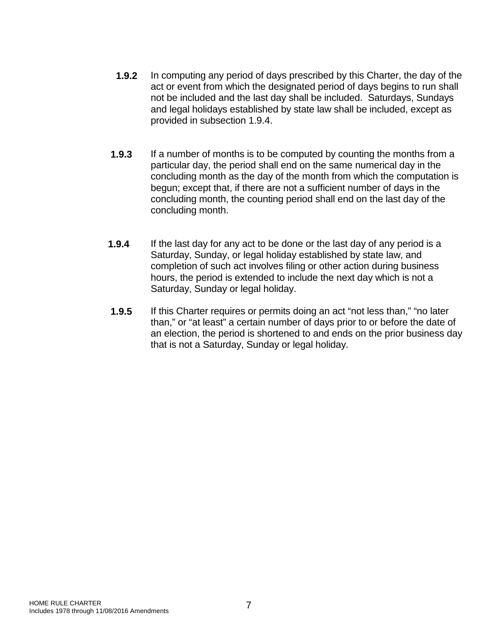- **1.9.2** In computing any period of days prescribed by this Charter, the day of the act or event from which the designated period of days begins to run shall not be included and the last day shall be included. Saturdays, Sundays and legal holidays established by state law shall be included, except as provided in subsection 1.9.4.
- **1.9.3** If a number of months is to be computed by counting the months from a particular day, the period shall end on the same numerical day in the concluding month as the day of the month from which the computation is begun; except that, if there are not a sufficient number of days in the concluding month, the counting period shall end on the last day of the concluding month.
- **1.9.4** If the last day for any act to be done or the last day of any period is a Saturday, Sunday, or legal holiday established by state law, and completion of such act involves filing or other action during business hours, the period is extended to include the next day which is not a Saturday, Sunday or legal holiday.
- **1.9.5** If this Charter requires or permits doing an act "not less than," "no later than," or "at least" a certain number of days prior to or before the date of an election, the period is shortened to and ends on the prior business day that is not a Saturday, Sunday or legal holiday.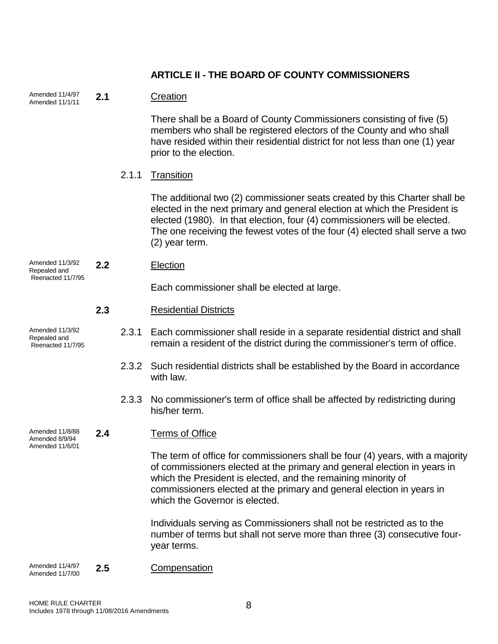# **ARTICLE II - THE BOARD OF COUNTY COMMISSIONERS**

| Amended 11/4/97<br>Amended 11/1/11                   | 2.1 |       | Creation                                                                                                                                                                                                                                                                                                                                |
|------------------------------------------------------|-----|-------|-----------------------------------------------------------------------------------------------------------------------------------------------------------------------------------------------------------------------------------------------------------------------------------------------------------------------------------------|
|                                                      |     |       | There shall be a Board of County Commissioners consisting of five (5)<br>members who shall be registered electors of the County and who shall<br>have resided within their residential district for not less than one (1) year<br>prior to the election.                                                                                |
|                                                      |     | 2.1.1 | Transition                                                                                                                                                                                                                                                                                                                              |
|                                                      |     |       | The additional two (2) commissioner seats created by this Charter shall be<br>elected in the next primary and general election at which the President is<br>elected (1980). In that election, four (4) commissioners will be elected.<br>The one receiving the fewest votes of the four (4) elected shall serve a two<br>(2) year term. |
| Amended 11/3/92<br>Repealed and                      | 2.2 |       | Election                                                                                                                                                                                                                                                                                                                                |
| Reenacted 11/7/95                                    |     |       | Each commissioner shall be elected at large.                                                                                                                                                                                                                                                                                            |
|                                                      | 2.3 |       | <b>Residential Districts</b>                                                                                                                                                                                                                                                                                                            |
| Amended 11/3/92<br>Repealed and<br>Reenacted 11/7/95 |     | 2.3.1 | Each commissioner shall reside in a separate residential district and shall<br>remain a resident of the district during the commissioner's term of office.                                                                                                                                                                              |
|                                                      |     | 2.3.2 | Such residential districts shall be established by the Board in accordance<br>with law.                                                                                                                                                                                                                                                 |
|                                                      |     | 2.3.3 | No commissioner's term of office shall be affected by redistricting during<br>his/her term.                                                                                                                                                                                                                                             |
| Amended 11/8/88<br>Amended 8/9/94                    | 2.4 |       | <b>Terms of Office</b>                                                                                                                                                                                                                                                                                                                  |
| Amended 11/6/01                                      |     |       | The term of office for commissioners shall be four (4) years, with a majority<br>of commissioners elected at the primary and general election in years in<br>which the President is elected, and the remaining minority of<br>commissioners elected at the primary and general election in years in<br>which the Governor is elected.   |
|                                                      |     |       | Individuals serving as Commissioners shall not be restricted as to the<br>number of terms but shall not serve more than three (3) consecutive four-<br>year terms.                                                                                                                                                                      |
| Amended 11/4/97<br>Amended 11/7/00                   | 2.5 |       | Compensation                                                                                                                                                                                                                                                                                                                            |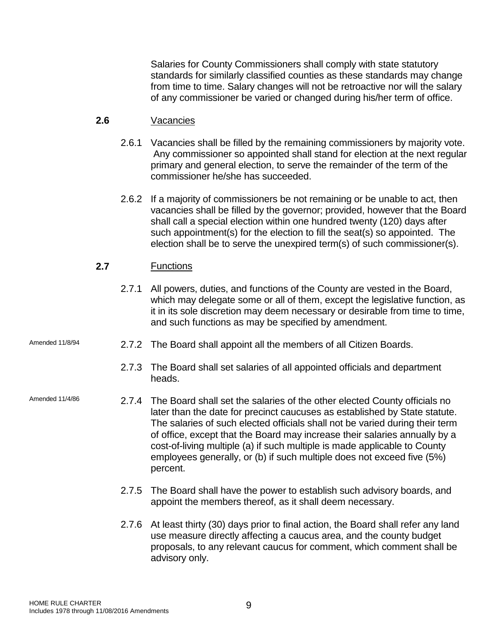Salaries for County Commissioners shall comply with state statutory standards for similarly classified counties as these standards may change from time to time. Salary changes will not be retroactive nor will the salary of any commissioner be varied or changed during his/her term of office.

# **2.6** Vacancies

- 2.6.1 Vacancies shall be filled by the remaining commissioners by majority vote. Any commissioner so appointed shall stand for election at the next regular primary and general election, to serve the remainder of the term of the commissioner he/she has succeeded.
- 2.6.2 If a majority of commissioners be not remaining or be unable to act, then vacancies shall be filled by the governor; provided, however that the Board shall call a special election within one hundred twenty (120) days after such appointment(s) for the election to fill the seat(s) so appointed. The election shall be to serve the unexpired term(s) of such commissioner(s).

# **2.7** Functions

- 2.7.1 All powers, duties, and functions of the County are vested in the Board, which may delegate some or all of them, except the legislative function, as it in its sole discretion may deem necessary or desirable from time to time, and such functions as may be specified by amendment.
- Amended 11/8/94 2.7.2 The Board shall appoint all the members of all Citizen Boards.
	- 2.7.3 The Board shall set salaries of all appointed officials and department heads.
- Amended 11/4/86 2.7.4 The Board shall set the salaries of the other elected County officials no later than the date for precinct caucuses as established by State statute. The salaries of such elected officials shall not be varied during their term of office, except that the Board may increase their salaries annually by a cost-of-living multiple (a) if such multiple is made applicable to County employees generally, or (b) if such multiple does not exceed five (5%) percent.
	- 2.7.5 The Board shall have the power to establish such advisory boards, and appoint the members thereof, as it shall deem necessary.
	- 2.7.6 At least thirty (30) days prior to final action, the Board shall refer any land use measure directly affecting a caucus area, and the county budget proposals, to any relevant caucus for comment, which comment shall be advisory only.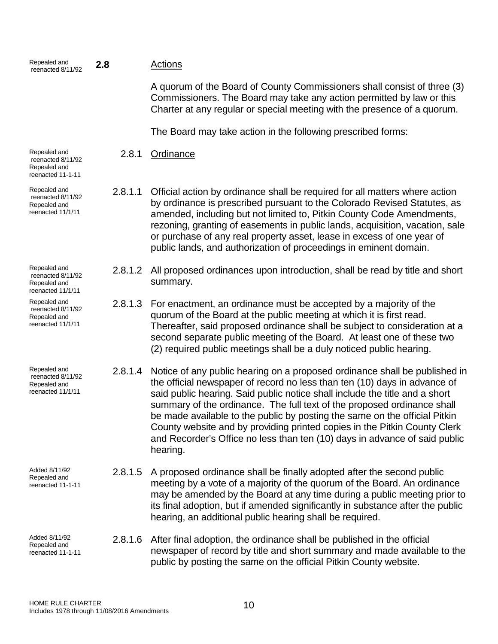| Repealed and<br>reenacted 8/11/92                                      | 2.8     | <u>Actions</u>                                                                                                                                                                                                                                                                                                                                                                                                                                                                                                                                                         |
|------------------------------------------------------------------------|---------|------------------------------------------------------------------------------------------------------------------------------------------------------------------------------------------------------------------------------------------------------------------------------------------------------------------------------------------------------------------------------------------------------------------------------------------------------------------------------------------------------------------------------------------------------------------------|
|                                                                        |         | A quorum of the Board of County Commissioners shall consist of three (3)<br>Commissioners. The Board may take any action permitted by law or this<br>Charter at any regular or special meeting with the presence of a quorum.                                                                                                                                                                                                                                                                                                                                          |
|                                                                        |         | The Board may take action in the following prescribed forms:                                                                                                                                                                                                                                                                                                                                                                                                                                                                                                           |
| Repealed and<br>reenacted 8/11/92<br>Repealed and<br>reenacted 11-1-11 | 2.8.1   | Ordinance                                                                                                                                                                                                                                                                                                                                                                                                                                                                                                                                                              |
| Repealed and<br>reenacted 8/11/92<br>Repealed and<br>reenacted 11/1/11 | 2.8.1.1 | Official action by ordinance shall be required for all matters where action<br>by ordinance is prescribed pursuant to the Colorado Revised Statutes, as<br>amended, including but not limited to, Pitkin County Code Amendments,<br>rezoning, granting of easements in public lands, acquisition, vacation, sale<br>or purchase of any real property asset, lease in excess of one year of<br>public lands, and authorization of proceedings in eminent domain.                                                                                                        |
| Repealed and<br>reenacted 8/11/92<br>Repealed and<br>reenacted 11/1/11 | 2.8.1.2 | All proposed ordinances upon introduction, shall be read by title and short<br>summary.                                                                                                                                                                                                                                                                                                                                                                                                                                                                                |
| Repealed and<br>reenacted 8/11/92<br>Repealed and<br>reenacted 11/1/11 | 2.8.1.3 | For enactment, an ordinance must be accepted by a majority of the<br>quorum of the Board at the public meeting at which it is first read.<br>Thereafter, said proposed ordinance shall be subject to consideration at a<br>second separate public meeting of the Board. At least one of these two<br>(2) required public meetings shall be a duly noticed public hearing.                                                                                                                                                                                              |
| Repealed and<br>reenacted 8/11/92<br>Repealed and<br>reenacted 11/1/11 | 2.8.1.4 | Notice of any public hearing on a proposed ordinance shall be published in<br>the official newspaper of record no less than ten (10) days in advance of<br>said public hearing. Said public notice shall include the title and a short<br>summary of the ordinance. The full text of the proposed ordinance shall<br>be made available to the public by posting the same on the official Pitkin<br>County website and by providing printed copies in the Pitkin County Clerk<br>and Recorder's Office no less than ten (10) days in advance of said public<br>hearing. |
| Added 8/11/92<br>Repealed and<br>reenacted 11-1-11                     | 2.8.1.5 | A proposed ordinance shall be finally adopted after the second public<br>meeting by a vote of a majority of the quorum of the Board. An ordinance<br>may be amended by the Board at any time during a public meeting prior to<br>its final adoption, but if amended significantly in substance after the public<br>hearing, an additional public hearing shall be required.                                                                                                                                                                                            |
| Added 8/11/92<br>Repealed and<br>reenacted 11-1-11                     | 2.8.1.6 | After final adoption, the ordinance shall be published in the official<br>newspaper of record by title and short summary and made available to the<br>public by posting the same on the official Pitkin County website.                                                                                                                                                                                                                                                                                                                                                |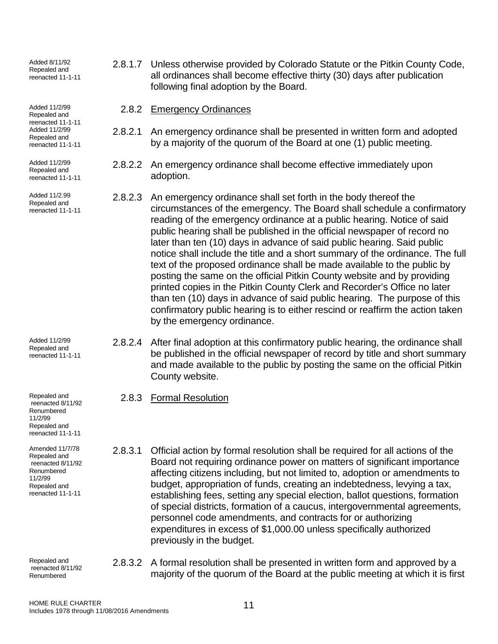Added 8/11/92 Repealed and reenacted 11-1-11

Added 11/2/99 Repealed and reenacted 11-1-11 Added 11/2/99 Repealed and reenacted 11-1-11

Added 11/2/99 Repealed and reenacted 11-1-11

Added 11/2.99 Repealed and reenacted 11-1-11

Added 11/2/99 Repealed and reenacted 11-1-11

Repealed and reenacted 8/11/92 Renumbered 11/2/99 Repealed and reenacted 11-1-11

Amended 11/7/78 Repealed and reenacted 8/11/92 Renumbered 11/2/99 Repealed and reenacted 11-1-11

Repealed and reenacted 8/11/92 Renumbered

- 2.8.1.7 Unless otherwise provided by Colorado Statute or the Pitkin County Code, all ordinances shall become effective thirty (30) days after publication following final adoption by the Board.
	- 2.8.2 Emergency Ordinances
- 2.8.2.1 An emergency ordinance shall be presented in written form and adopted by a majority of the quorum of the Board at one (1) public meeting.
- 2.8.2.2 An emergency ordinance shall become effective immediately upon adoption.
- 2.8.2.3 An emergency ordinance shall set forth in the body thereof the circumstances of the emergency. The Board shall schedule a confirmatory reading of the emergency ordinance at a public hearing. Notice of said public hearing shall be published in the official newspaper of record no later than ten (10) days in advance of said public hearing. Said public notice shall include the title and a short summary of the ordinance. The full text of the proposed ordinance shall be made available to the public by posting the same on the official Pitkin County website and by providing printed copies in the Pitkin County Clerk and Recorder's Office no later than ten (10) days in advance of said public hearing. The purpose of this confirmatory public hearing is to either rescind or reaffirm the action taken by the emergency ordinance.
- 2.8.2.4 After final adoption at this confirmatory public hearing, the ordinance shall be published in the official newspaper of record by title and short summary and made available to the public by posting the same on the official Pitkin County website.
	- 2.8.3 Formal Resolution
- 2.8.3.1 Official action by formal resolution shall be required for all actions of the Board not requiring ordinance power on matters of significant importance affecting citizens including, but not limited to, adoption or amendments to budget, appropriation of funds, creating an indebtedness, levying a tax, establishing fees, setting any special election, ballot questions, formation of special districts, formation of a caucus, intergovernmental agreements, personnel code amendments, and contracts for or authorizing expenditures in excess of \$1,000.00 unless specifically authorized previously in the budget.
- 2.8.3.2 A formal resolution shall be presented in written form and approved by a majority of the quorum of the Board at the public meeting at which it is first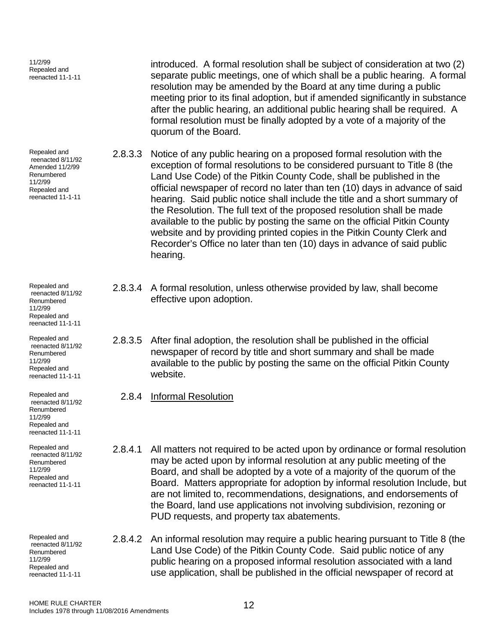| 11/2/99<br>Repealed and<br>reenacted 11-1-11                                                                       |         | introduced. A formal resolution shall be subject of consideration at two (2)<br>separate public meetings, one of which shall be a public hearing. A formal<br>resolution may be amended by the Board at any time during a public<br>meeting prior to its final adoption, but if amended significantly in substance<br>after the public hearing, an additional public hearing shall be required. A<br>formal resolution must be finally adopted by a vote of a majority of the<br>quorum of the Board.                                                                                                                                                                                                          |
|--------------------------------------------------------------------------------------------------------------------|---------|----------------------------------------------------------------------------------------------------------------------------------------------------------------------------------------------------------------------------------------------------------------------------------------------------------------------------------------------------------------------------------------------------------------------------------------------------------------------------------------------------------------------------------------------------------------------------------------------------------------------------------------------------------------------------------------------------------------|
| Repealed and<br>reenacted 8/11/92<br>Amended 11/2/99<br>Renumbered<br>11/2/99<br>Repealed and<br>reenacted 11-1-11 | 2.8.3.3 | Notice of any public hearing on a proposed formal resolution with the<br>exception of formal resolutions to be considered pursuant to Title 8 (the<br>Land Use Code) of the Pitkin County Code, shall be published in the<br>official newspaper of record no later than ten (10) days in advance of said<br>hearing. Said public notice shall include the title and a short summary of<br>the Resolution. The full text of the proposed resolution shall be made<br>available to the public by posting the same on the official Pitkin County<br>website and by providing printed copies in the Pitkin County Clerk and<br>Recorder's Office no later than ten (10) days in advance of said public<br>hearing. |
| Repealed and<br>reenacted 8/11/92<br>Renumbered<br>11/2/99<br>Repealed and<br>reenacted 11-1-11                    | 2.8.3.4 | A formal resolution, unless otherwise provided by law, shall become<br>effective upon adoption.                                                                                                                                                                                                                                                                                                                                                                                                                                                                                                                                                                                                                |
| Repealed and<br>reenacted 8/11/92<br>Renumbered<br>11/2/99<br>Repealed and<br>reenacted 11-1-11                    | 2.8.3.5 | After final adoption, the resolution shall be published in the official<br>newspaper of record by title and short summary and shall be made<br>available to the public by posting the same on the official Pitkin County<br>website.                                                                                                                                                                                                                                                                                                                                                                                                                                                                           |
| Repealed and<br>reenacted 8/11/92<br>Renumbered<br>11/2/99<br>Repealed and<br>reenacted 11-1-11                    | 2.8.4   | <b>Informal Resolution</b>                                                                                                                                                                                                                                                                                                                                                                                                                                                                                                                                                                                                                                                                                     |
| Repealed and<br>reenacted 8/11/92<br>Renumbered<br>11/2/99<br>Repealed and<br>reenacted 11-1-11                    | 2.8.4.1 | All matters not required to be acted upon by ordinance or formal resolution<br>may be acted upon by informal resolution at any public meeting of the<br>Board, and shall be adopted by a vote of a majority of the quorum of the<br>Board. Matters appropriate for adoption by informal resolution Include, but<br>are not limited to, recommendations, designations, and endorsements of<br>the Board, land use applications not involving subdivision, rezoning or<br>PUD requests, and property tax abatements.                                                                                                                                                                                             |
| Repealed and<br>reenacted 8/11/92<br>Renumbered<br>11/2/99<br>Repealed and<br>reenacted 11-1-11                    | 2.8.4.2 | An informal resolution may require a public hearing pursuant to Title 8 (the<br>Land Use Code) of the Pitkin County Code. Said public notice of any<br>public hearing on a proposed informal resolution associated with a land<br>use application, shall be published in the official newspaper of record at                                                                                                                                                                                                                                                                                                                                                                                                   |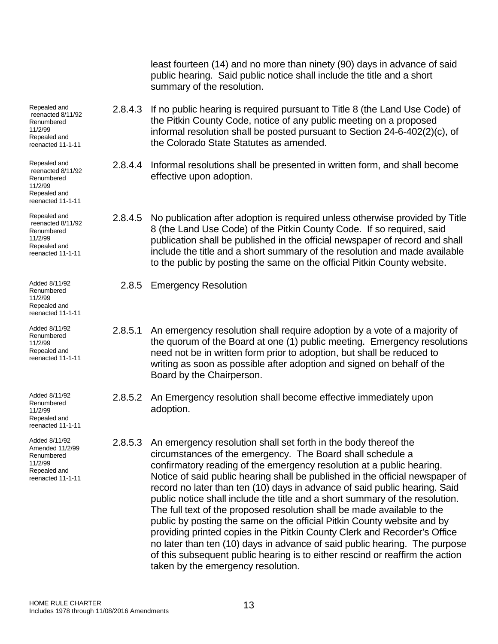least fourteen (14) and no more than ninety (90) days in advance of said public hearing. Said public notice shall include the title and a short summary of the resolution.

- 2.8.4.3 If no public hearing is required pursuant to Title 8 (the Land Use Code) of the Pitkin County Code, notice of any public meeting on a proposed informal resolution shall be posted pursuant to Section 24-6-402(2)(c), of the Colorado State Statutes as amended.
- 2.8.4.4 Informal resolutions shall be presented in written form, and shall become effective upon adoption.

2.8.4.5 No publication after adoption is required unless otherwise provided by Title 8 (the Land Use Code) of the Pitkin County Code. If so required, said publication shall be published in the official newspaper of record and shall include the title and a short summary of the resolution and made available to the public by posting the same on the official Pitkin County website.

- 2.8.5 Emergency Resolution
- 2.8.5.1 An emergency resolution shall require adoption by a vote of a majority of the quorum of the Board at one (1) public meeting. Emergency resolutions need not be in written form prior to adoption, but shall be reduced to writing as soon as possible after adoption and signed on behalf of the Board by the Chairperson.
- 2.8.5.2 An Emergency resolution shall become effective immediately upon adoption.
- 2.8.5.3 An emergency resolution shall set forth in the body thereof the circumstances of the emergency. The Board shall schedule a confirmatory reading of the emergency resolution at a public hearing. Notice of said public hearing shall be published in the official newspaper of record no later than ten (10) days in advance of said public hearing. Said public notice shall include the title and a short summary of the resolution. The full text of the proposed resolution shall be made available to the public by posting the same on the official Pitkin County website and by providing printed copies in the Pitkin County Clerk and Recorder's Office no later than ten (10) days in advance of said public hearing. The purpose of this subsequent public hearing is to either rescind or reaffirm the action taken by the emergency resolution.

Repealed and reenacted 8/11/92 Renumbered 11/2/99 Repealed and reenacted 11-1-11

Repealed and reenacted 8/11/92 Renumbered 11/2/99 Repealed and reenacted 11-1-11

Repealed and reenacted 8/11/92 Renumbered 11/2/99 Repealed and reenacted 11-1-11

Added 8/11/92 Renumbered 11/2/99 Repealed and reenacted 11-1-11

Added 8/11/92 Renumbered 11/2/99 Repealed and reenacted 11-1-11

Added 8/11/92 Renumbered 11/2/99 Repealed and reenacted 11-1-11

Added 8/11/92 Amended 11/2/99 Renumbered 11/2/99 Repealed and reenacted 11-1-11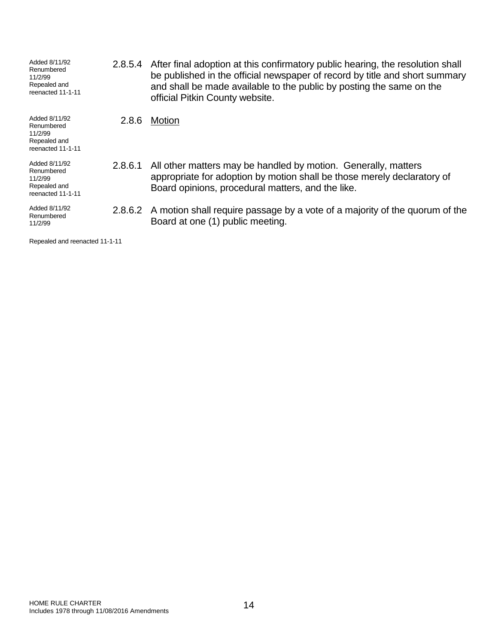| Added 8/11/92<br>Renumbered<br>11/2/99<br>Repealed and<br>reenacted 11-1-11 | 2.8.5.4 | After final adoption at this confirmatory public hearing, the resolution shall<br>be published in the official newspaper of record by title and short summary<br>and shall be made available to the public by posting the same on the<br>official Pitkin County website. |
|-----------------------------------------------------------------------------|---------|--------------------------------------------------------------------------------------------------------------------------------------------------------------------------------------------------------------------------------------------------------------------------|
| Added 8/11/92<br>Renumbered<br>11/2/99<br>Repealed and<br>reenacted 11-1-11 | 2.8.6   | Motion                                                                                                                                                                                                                                                                   |
| Added 8/11/92<br>Renumbered<br>11/2/99<br>Repealed and<br>reenacted 11-1-11 | 2.8.6.1 | All other matters may be handled by motion. Generally, matters<br>appropriate for adoption by motion shall be those merely declaratory of<br>Board opinions, procedural matters, and the like.                                                                           |
| Added 8/11/92<br>Renumbered<br>11/2/99                                      |         | 2.8.6.2 A motion shall require passage by a vote of a majority of the quorum of the<br>Board at one (1) public meeting.                                                                                                                                                  |

Repealed and reenacted 11-1-11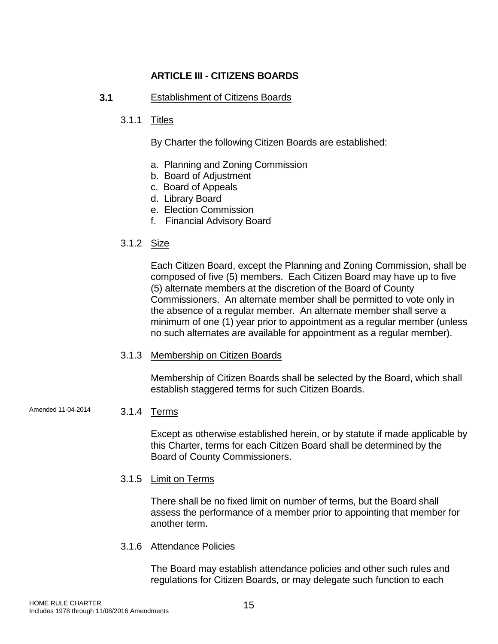# **ARTICLE III - CITIZENS BOARDS**

# **3.1** Establishment of Citizens Boards

# 3.1.1 Titles

By Charter the following Citizen Boards are established:

- a. Planning and Zoning Commission
- b. Board of Adjustment
- c. Board of Appeals
- d. Library Board
- e. Election Commission
- f. Financial Advisory Board
- 3.1.2 Size

Each Citizen Board, except the Planning and Zoning Commission, shall be composed of five (5) members. Each Citizen Board may have up to five (5) alternate members at the discretion of the Board of County Commissioners. An alternate member shall be permitted to vote only in the absence of a regular member. An alternate member shall serve a minimum of one (1) year prior to appointment as a regular member (unless no such alternates are available for appointment as a regular member).

3.1.3 Membership on Citizen Boards

Membership of Citizen Boards shall be selected by the Board, which shall establish staggered terms for such Citizen Boards.

Amended 11-04-2014 3.1.4 Terms

Except as otherwise established herein, or by statute if made applicable by this Charter, terms for each Citizen Board shall be determined by the Board of County Commissioners.

3.1.5 Limit on Terms

There shall be no fixed limit on number of terms, but the Board shall assess the performance of a member prior to appointing that member for another term.

3.1.6 Attendance Policies

The Board may establish attendance policies and other such rules and regulations for Citizen Boards, or may delegate such function to each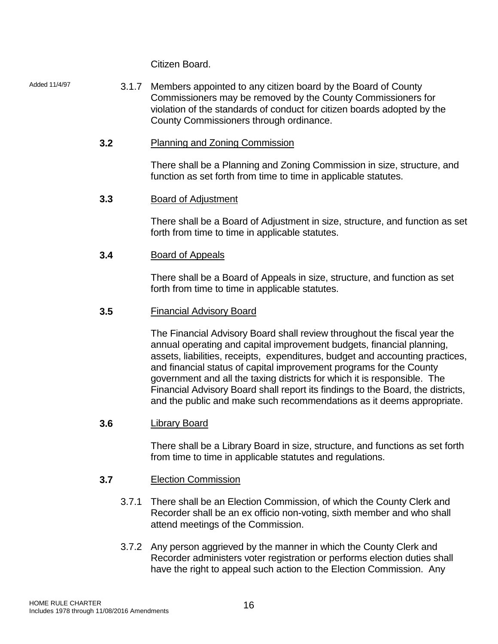Citizen Board.

Added 11/4/97 3.1.7 Members appointed to any citizen board by the Board of County Commissioners may be removed by the County Commissioners for violation of the standards of conduct for citizen boards adopted by the County Commissioners through ordinance.

# **3.2** Planning and Zoning Commission

There shall be a Planning and Zoning Commission in size, structure, and function as set forth from time to time in applicable statutes.

**3.3** Board of Adjustment

There shall be a Board of Adjustment in size, structure, and function as set forth from time to time in applicable statutes.

**3.4** Board of Appeals

There shall be a Board of Appeals in size, structure, and function as set forth from time to time in applicable statutes.

**3.5** Financial Advisory Board

The Financial Advisory Board shall review throughout the fiscal year the annual operating and capital improvement budgets, financial planning, assets, liabilities, receipts, expenditures, budget and accounting practices, and financial status of capital improvement programs for the County government and all the taxing districts for which it is responsible. The Financial Advisory Board shall report its findings to the Board, the districts, and the public and make such recommendations as it deems appropriate.

**3.6** Library Board

There shall be a Library Board in size, structure, and functions as set forth from time to time in applicable statutes and regulations.

- **3.7** Election Commission
	- 3.7.1 There shall be an Election Commission, of which the County Clerk and Recorder shall be an ex officio non-voting, sixth member and who shall attend meetings of the Commission.
	- 3.7.2 Any person aggrieved by the manner in which the County Clerk and Recorder administers voter registration or performs election duties shall have the right to appeal such action to the Election Commission. Any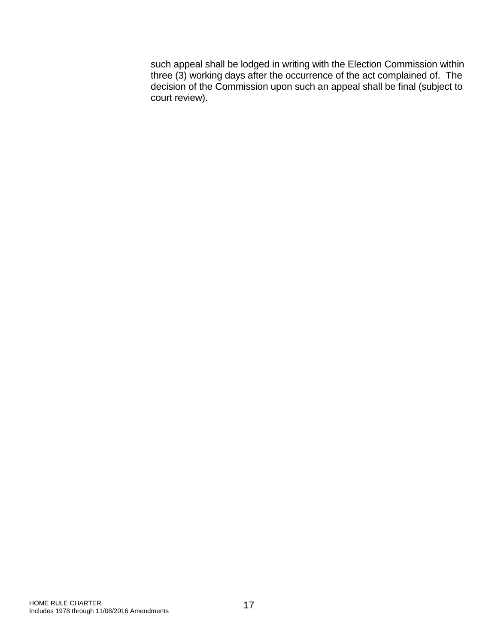such appeal shall be lodged in writing with the Election Commission within three (3) working days after the occurrence of the act complained of. The decision of the Commission upon such an appeal shall be final (subject to court review).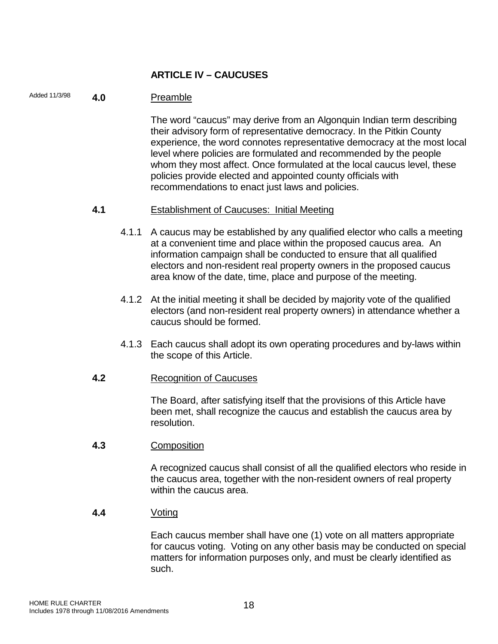# **ARTICLE IV – CAUCUSES**

# Added 11/3/98 **4.0** Preamble

The word "caucus" may derive from an Algonquin Indian term describing their advisory form of representative democracy. In the Pitkin County experience, the word connotes representative democracy at the most local level where policies are formulated and recommended by the people whom they most affect. Once formulated at the local caucus level, these policies provide elected and appointed county officials with recommendations to enact just laws and policies.

# **4.1** Establishment of Caucuses: Initial Meeting

- 4.1.1 A caucus may be established by any qualified elector who calls a meeting at a convenient time and place within the proposed caucus area. An information campaign shall be conducted to ensure that all qualified electors and non-resident real property owners in the proposed caucus area know of the date, time, place and purpose of the meeting.
- 4.1.2 At the initial meeting it shall be decided by majority vote of the qualified electors (and non-resident real property owners) in attendance whether a caucus should be formed.
- 4.1.3 Each caucus shall adopt its own operating procedures and by-laws within the scope of this Article.

# **4.2** Recognition of Caucuses

The Board, after satisfying itself that the provisions of this Article have been met, shall recognize the caucus and establish the caucus area by resolution.

# **4.3** Composition

A recognized caucus shall consist of all the qualified electors who reside in the caucus area, together with the non-resident owners of real property within the caucus area.

# **4.4** Voting

Each caucus member shall have one (1) vote on all matters appropriate for caucus voting. Voting on any other basis may be conducted on special matters for information purposes only, and must be clearly identified as such.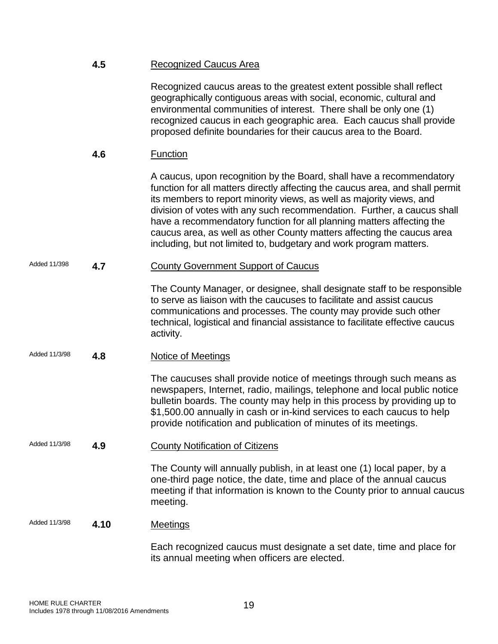|               | 4.5  | <b>Recognized Caucus Area</b>                                                                                                                                                                                                                                                                                                                                                                                                                                                                                                     |
|---------------|------|-----------------------------------------------------------------------------------------------------------------------------------------------------------------------------------------------------------------------------------------------------------------------------------------------------------------------------------------------------------------------------------------------------------------------------------------------------------------------------------------------------------------------------------|
|               |      | Recognized caucus areas to the greatest extent possible shall reflect<br>geographically contiguous areas with social, economic, cultural and<br>environmental communities of interest. There shall be only one (1)<br>recognized caucus in each geographic area. Each caucus shall provide<br>proposed definite boundaries for their caucus area to the Board.                                                                                                                                                                    |
|               | 4.6  | <b>Function</b>                                                                                                                                                                                                                                                                                                                                                                                                                                                                                                                   |
|               |      | A caucus, upon recognition by the Board, shall have a recommendatory<br>function for all matters directly affecting the caucus area, and shall permit<br>its members to report minority views, as well as majority views, and<br>division of votes with any such recommendation. Further, a caucus shall<br>have a recommendatory function for all planning matters affecting the<br>caucus area, as well as other County matters affecting the caucus area<br>including, but not limited to, budgetary and work program matters. |
| Added 11/398  | 4.7  | <b>County Government Support of Caucus</b>                                                                                                                                                                                                                                                                                                                                                                                                                                                                                        |
|               |      | The County Manager, or designee, shall designate staff to be responsible<br>to serve as liaison with the caucuses to facilitate and assist caucus<br>communications and processes. The county may provide such other<br>technical, logistical and financial assistance to facilitate effective caucus<br>activity.                                                                                                                                                                                                                |
| Added 11/3/98 | 4.8  | <b>Notice of Meetings</b>                                                                                                                                                                                                                                                                                                                                                                                                                                                                                                         |
|               |      | The caucuses shall provide notice of meetings through such means as<br>newspapers, Internet, radio, mailings, telephone and local public notice<br>bulletin boards. The county may help in this process by providing up to<br>\$1,500.00 annually in cash or in-kind services to each caucus to help<br>provide notification and publication of minutes of its meetings.                                                                                                                                                          |
| Added 11/3/98 | 4.9  | <b>County Notification of Citizens</b>                                                                                                                                                                                                                                                                                                                                                                                                                                                                                            |
|               |      | The County will annually publish, in at least one (1) local paper, by a<br>one-third page notice, the date, time and place of the annual caucus<br>meeting if that information is known to the County prior to annual caucus<br>meeting.                                                                                                                                                                                                                                                                                          |
| Added 11/3/98 | 4.10 | <b>Meetings</b>                                                                                                                                                                                                                                                                                                                                                                                                                                                                                                                   |
|               |      | Each recognized caucus must designate a set date, time and place for                                                                                                                                                                                                                                                                                                                                                                                                                                                              |

HOME RULE CHARTER HOME RULE CHARTER<br>Includes 1978 through 11/08/2016 Amendments 1978 19

its annual meeting when officers are elected.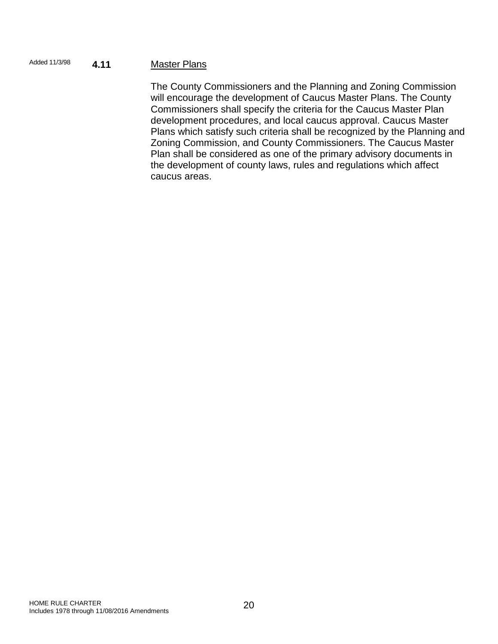# Added 11/3/98 **4.11** Master Plans

The County Commissioners and the Planning and Zoning Commission will encourage the development of Caucus Master Plans. The County Commissioners shall specify the criteria for the Caucus Master Plan development procedures, and local caucus approval. Caucus Master Plans which satisfy such criteria shall be recognized by the Planning and Zoning Commission, and County Commissioners. The Caucus Master Plan shall be considered as one of the primary advisory documents in the development of county laws, rules and regulations which affect caucus areas.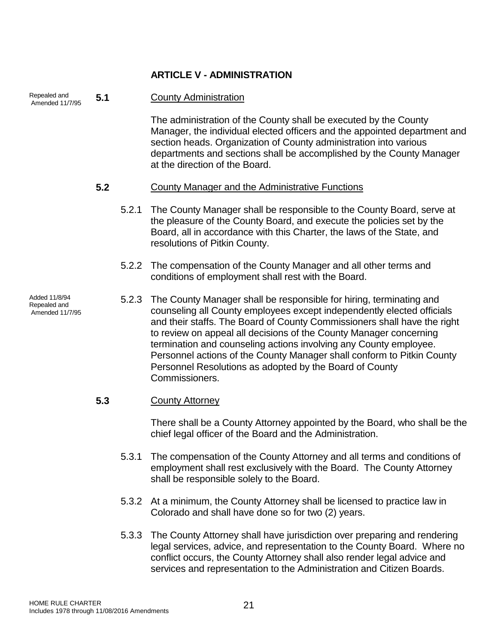# **ARTICLE V - ADMINISTRATION**

| Repealed and<br>Amended 11/7/95                  | 5.1 |       | <b>County Administration</b>                                                                                                                                                                                                                                                                                                                                                                                                                                                                                                |
|--------------------------------------------------|-----|-------|-----------------------------------------------------------------------------------------------------------------------------------------------------------------------------------------------------------------------------------------------------------------------------------------------------------------------------------------------------------------------------------------------------------------------------------------------------------------------------------------------------------------------------|
|                                                  |     |       | The administration of the County shall be executed by the County<br>Manager, the individual elected officers and the appointed department and<br>section heads. Organization of County administration into various<br>departments and sections shall be accomplished by the County Manager<br>at the direction of the Board.                                                                                                                                                                                                |
|                                                  | 5.2 |       | <b>County Manager and the Administrative Functions</b>                                                                                                                                                                                                                                                                                                                                                                                                                                                                      |
|                                                  |     | 5.2.1 | The County Manager shall be responsible to the County Board, serve at<br>the pleasure of the County Board, and execute the policies set by the<br>Board, all in accordance with this Charter, the laws of the State, and<br>resolutions of Pitkin County.                                                                                                                                                                                                                                                                   |
|                                                  |     | 5.2.2 | The compensation of the County Manager and all other terms and<br>conditions of employment shall rest with the Board.                                                                                                                                                                                                                                                                                                                                                                                                       |
| Added 11/8/94<br>Repealed and<br>Amended 11/7/95 |     | 5.2.3 | The County Manager shall be responsible for hiring, terminating and<br>counseling all County employees except independently elected officials<br>and their staffs. The Board of County Commissioners shall have the right<br>to review on appeal all decisions of the County Manager concerning<br>termination and counseling actions involving any County employee.<br>Personnel actions of the County Manager shall conform to Pitkin County<br>Personnel Resolutions as adopted by the Board of County<br>Commissioners. |
|                                                  | 5.3 |       | <b>County Attorney</b>                                                                                                                                                                                                                                                                                                                                                                                                                                                                                                      |
|                                                  |     |       | There shall be a County Attorney appointed by the Board, who shall be the<br>chief legal officer of the Board and the Administration.                                                                                                                                                                                                                                                                                                                                                                                       |
|                                                  |     | 5.3.1 | The compensation of the County Attorney and all terms and conditions of<br>employment shall rest exclusively with the Board. The County Attorney<br>shall be responsible solely to the Board.                                                                                                                                                                                                                                                                                                                               |
|                                                  |     |       | 5.3.2 At a minimum, the County Attorney shall be licensed to practice law in<br>Colorado and shall have done so for two (2) years.                                                                                                                                                                                                                                                                                                                                                                                          |

5.3.3 The County Attorney shall have jurisdiction over preparing and rendering legal services, advice, and representation to the County Board. Where no conflict occurs, the County Attorney shall also render legal advice and services and representation to the Administration and Citizen Boards.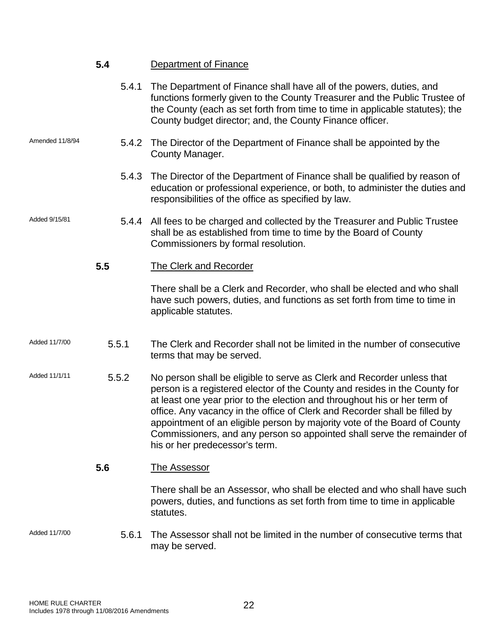|                 | 5.4   | Department of Finance                                                                                                                                                                                                                                                                                                                                                                                                                                                                                     |
|-----------------|-------|-----------------------------------------------------------------------------------------------------------------------------------------------------------------------------------------------------------------------------------------------------------------------------------------------------------------------------------------------------------------------------------------------------------------------------------------------------------------------------------------------------------|
|                 | 5.4.1 | The Department of Finance shall have all of the powers, duties, and<br>functions formerly given to the County Treasurer and the Public Trustee of<br>the County (each as set forth from time to time in applicable statutes); the<br>County budget director; and, the County Finance officer.                                                                                                                                                                                                             |
| Amended 11/8/94 | 5.4.2 | The Director of the Department of Finance shall be appointed by the<br>County Manager.                                                                                                                                                                                                                                                                                                                                                                                                                    |
|                 | 5.4.3 | The Director of the Department of Finance shall be qualified by reason of<br>education or professional experience, or both, to administer the duties and<br>responsibilities of the office as specified by law.                                                                                                                                                                                                                                                                                           |
| Added 9/15/81   | 5.4.4 | All fees to be charged and collected by the Treasurer and Public Trustee<br>shall be as established from time to time by the Board of County<br>Commissioners by formal resolution.                                                                                                                                                                                                                                                                                                                       |
|                 | 5.5   | <b>The Clerk and Recorder</b>                                                                                                                                                                                                                                                                                                                                                                                                                                                                             |
|                 |       | There shall be a Clerk and Recorder, who shall be elected and who shall<br>have such powers, duties, and functions as set forth from time to time in<br>applicable statutes.                                                                                                                                                                                                                                                                                                                              |
| Added 11/7/00   | 5.5.1 | The Clerk and Recorder shall not be limited in the number of consecutive<br>terms that may be served.                                                                                                                                                                                                                                                                                                                                                                                                     |
| Added 11/1/11   | 5.5.2 | No person shall be eligible to serve as Clerk and Recorder unless that<br>person is a registered elector of the County and resides in the County for<br>at least one year prior to the election and throughout his or her term of<br>office. Any vacancy in the office of Clerk and Recorder shall be filled by<br>appointment of an eligible person by majority vote of the Board of County<br>Commissioners, and any person so appointed shall serve the remainder of<br>his or her predecessor's term. |
|                 | 5.6   | <b>The Assessor</b>                                                                                                                                                                                                                                                                                                                                                                                                                                                                                       |
|                 |       | There shall be an Assessor, who shall be elected and who shall have such<br>powers, duties, and functions as set forth from time to time in applicable<br>statutes.                                                                                                                                                                                                                                                                                                                                       |
| Added 11/7/00   | 5.6.1 | The Assessor shall not be limited in the number of consecutive terms that<br>may be served.                                                                                                                                                                                                                                                                                                                                                                                                               |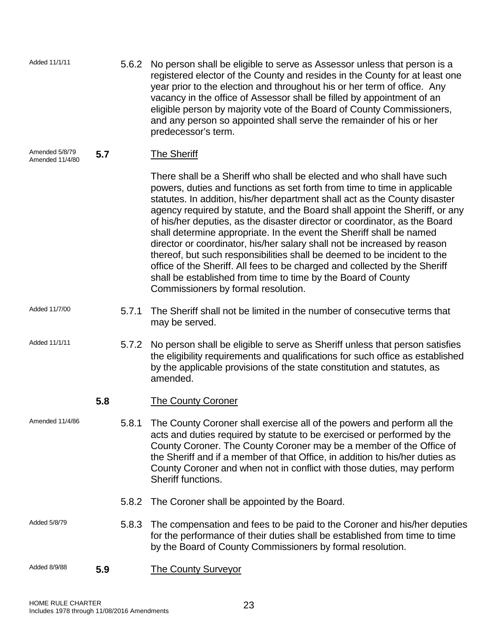| Added 11/1/11                     |     | 5.6.2 | No person shall be eligible to serve as Assessor unless that person is a<br>registered elector of the County and resides in the County for at least one<br>year prior to the election and throughout his or her term of office. Any<br>vacancy in the office of Assessor shall be filled by appointment of an<br>eligible person by majority vote of the Board of County Commissioners,<br>and any person so appointed shall serve the remainder of his or her<br>predecessor's term.                                                                                                                                                                                                                                                                                                                               |
|-----------------------------------|-----|-------|---------------------------------------------------------------------------------------------------------------------------------------------------------------------------------------------------------------------------------------------------------------------------------------------------------------------------------------------------------------------------------------------------------------------------------------------------------------------------------------------------------------------------------------------------------------------------------------------------------------------------------------------------------------------------------------------------------------------------------------------------------------------------------------------------------------------|
| Amended 5/8/79<br>Amended 11/4/80 | 5.7 |       | <b>The Sheriff</b>                                                                                                                                                                                                                                                                                                                                                                                                                                                                                                                                                                                                                                                                                                                                                                                                  |
|                                   |     |       | There shall be a Sheriff who shall be elected and who shall have such<br>powers, duties and functions as set forth from time to time in applicable<br>statutes. In addition, his/her department shall act as the County disaster<br>agency required by statute, and the Board shall appoint the Sheriff, or any<br>of his/her deputies, as the disaster director or coordinator, as the Board<br>shall determine appropriate. In the event the Sheriff shall be named<br>director or coordinator, his/her salary shall not be increased by reason<br>thereof, but such responsibilities shall be deemed to be incident to the<br>office of the Sheriff. All fees to be charged and collected by the Sheriff<br>shall be established from time to time by the Board of County<br>Commissioners by formal resolution. |
| Added 11/7/00                     |     | 5.7.1 | The Sheriff shall not be limited in the number of consecutive terms that<br>may be served.                                                                                                                                                                                                                                                                                                                                                                                                                                                                                                                                                                                                                                                                                                                          |
| Added 11/1/11                     |     | 5.7.2 | No person shall be eligible to serve as Sheriff unless that person satisfies<br>the eligibility requirements and qualifications for such office as established<br>by the applicable provisions of the state constitution and statutes, as<br>amended.                                                                                                                                                                                                                                                                                                                                                                                                                                                                                                                                                               |
|                                   | 5.8 |       | <b>The County Coroner</b>                                                                                                                                                                                                                                                                                                                                                                                                                                                                                                                                                                                                                                                                                                                                                                                           |
| Amended 11/4/86                   |     | 5.8.1 | The County Coroner shall exercise all of the powers and perform all the<br>acts and duties required by statute to be exercised or performed by the<br>County Coroner. The County Coroner may be a member of the Office of<br>the Sheriff and if a member of that Office, in addition to his/her duties as<br>County Coroner and when not in conflict with those duties, may perform<br>Sheriff functions.                                                                                                                                                                                                                                                                                                                                                                                                           |
|                                   |     | 5.8.2 | The Coroner shall be appointed by the Board.                                                                                                                                                                                                                                                                                                                                                                                                                                                                                                                                                                                                                                                                                                                                                                        |
| Added 5/8/79                      |     | 5.8.3 | The compensation and fees to be paid to the Coroner and his/her deputies<br>for the performance of their duties shall be established from time to time<br>by the Board of County Commissioners by formal resolution.                                                                                                                                                                                                                                                                                                                                                                                                                                                                                                                                                                                                |
| Added 8/9/88                      | 5.9 |       | <b>The County Surveyor</b>                                                                                                                                                                                                                                                                                                                                                                                                                                                                                                                                                                                                                                                                                                                                                                                          |
|                                   |     |       |                                                                                                                                                                                                                                                                                                                                                                                                                                                                                                                                                                                                                                                                                                                                                                                                                     |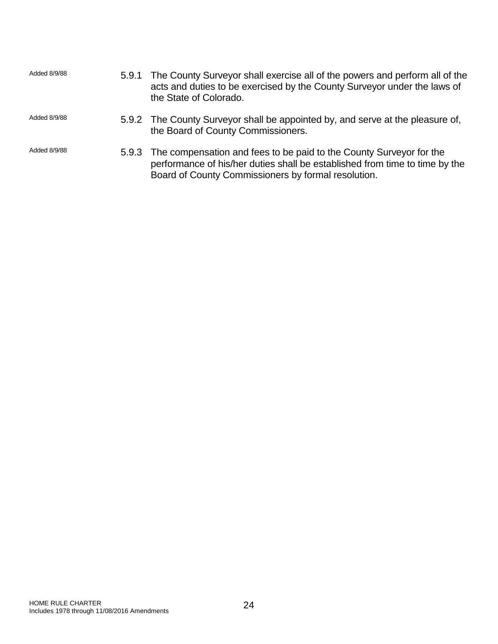| Added 8/9/88 | 5.9.1 | The County Surveyor shall exercise all of the powers and perform all of the<br>acts and duties to be exercised by the County Surveyor under the laws of<br>the State of Colorado.                               |
|--------------|-------|-----------------------------------------------------------------------------------------------------------------------------------------------------------------------------------------------------------------|
| Added 8/9/88 |       | 5.9.2 The County Surveyor shall be appointed by, and serve at the pleasure of,<br>the Board of County Commissioners.                                                                                            |
| Added 8/9/88 |       | 5.9.3 The compensation and fees to be paid to the County Surveyor for the<br>performance of his/her duties shall be established from time to time by the<br>Board of County Commissioners by formal resolution. |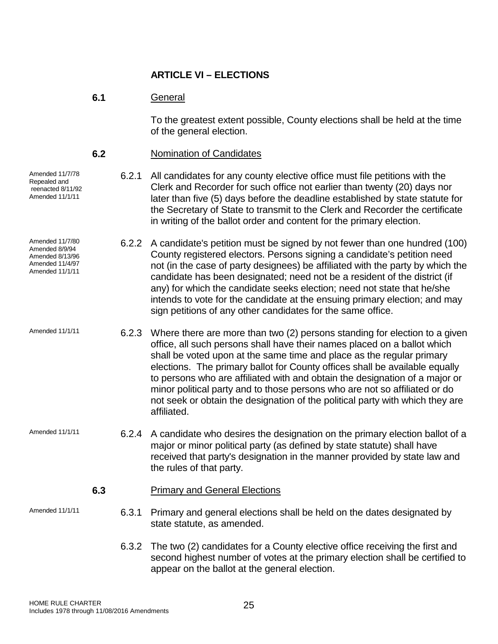# **ARTICLE VI – ELECTIONS**

# **6.1** General

To the greatest extent possible, County elections shall be held at the time of the general election.

# **6.2** Nomination of Candidates

6.2.1 All candidates for any county elective office must file petitions with the Clerk and Recorder for such office not earlier than twenty (20) days nor later than five (5) days before the deadline established by state statute for the Secretary of State to transmit to the Clerk and Recorder the certificate in writing of the ballot order and content for the primary election.

6.2.2 A candidate's petition must be signed by not fewer than one hundred (100) County registered electors. Persons signing a candidate's petition need not (in the case of party designees) be affiliated with the party by which the candidate has been designated; need not be a resident of the district (if any) for which the candidate seeks election; need not state that he/she intends to vote for the candidate at the ensuing primary election; and may sign petitions of any other candidates for the same office.

Amended 11/1/11  $\qquad 6.2.3$  Where there are more than two (2) persons standing for election to a given office, all such persons shall have their names placed on a ballot which shall be voted upon at the same time and place as the regular primary elections. The primary ballot for County offices shall be available equally to persons who are affiliated with and obtain the designation of a major or minor political party and to those persons who are not so affiliated or do not seek or obtain the designation of the political party with which they are affiliated.

Amended 11/1/11 6.2.4 A candidate who desires the designation on the primary election ballot of a major or minor political party (as defined by state statute) shall have received that party's designation in the manner provided by state law and the rules of that party.

# **6.3** Primary and General Elections

Amended 11/7/78 Repealed and reenacted 8/11/92 Amended 11/1/11

Amended 11/7/80 Amended 8/9/94 Amended 8/13/96 Amended 11/4/97 Amended 11/1/11

- Amended 11/1/11 6.3.1 Primary and general elections shall be held on the dates designated by state statute, as amended.
	- 6.3.2 The two (2) candidates for a County elective office receiving the first and second highest number of votes at the primary election shall be certified to appear on the ballot at the general election.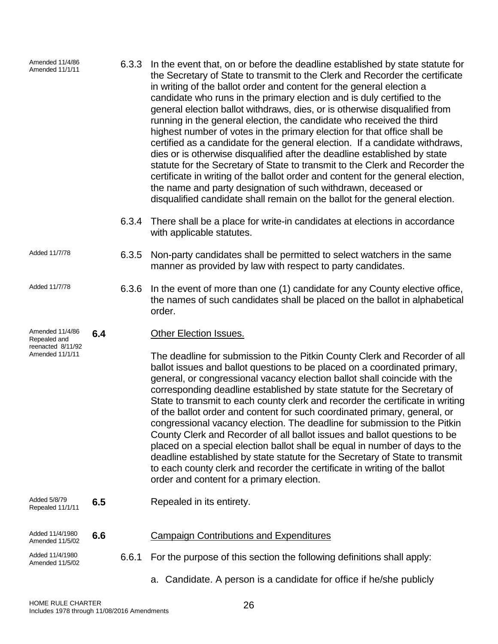| Amended 11/4/86<br>Amended 11/1/11   |     | 6.3.3 | In the event that, on or before the deadline established by state statute for<br>the Secretary of State to transmit to the Clerk and Recorder the certificate<br>in writing of the ballot order and content for the general election a<br>candidate who runs in the primary election and is duly certified to the<br>general election ballot withdraws, dies, or is otherwise disqualified from<br>running in the general election, the candidate who received the third<br>highest number of votes in the primary election for that office shall be<br>certified as a candidate for the general election. If a candidate withdraws,<br>dies or is otherwise disqualified after the deadline established by state<br>statute for the Secretary of State to transmit to the Clerk and Recorder the<br>certificate in writing of the ballot order and content for the general election,<br>the name and party designation of such withdrawn, deceased or<br>disqualified candidate shall remain on the ballot for the general election. |
|--------------------------------------|-----|-------|---------------------------------------------------------------------------------------------------------------------------------------------------------------------------------------------------------------------------------------------------------------------------------------------------------------------------------------------------------------------------------------------------------------------------------------------------------------------------------------------------------------------------------------------------------------------------------------------------------------------------------------------------------------------------------------------------------------------------------------------------------------------------------------------------------------------------------------------------------------------------------------------------------------------------------------------------------------------------------------------------------------------------------------|
|                                      |     | 6.3.4 | There shall be a place for write-in candidates at elections in accordance<br>with applicable statutes.                                                                                                                                                                                                                                                                                                                                                                                                                                                                                                                                                                                                                                                                                                                                                                                                                                                                                                                                |
| Added 11/7/78                        |     | 6.3.5 | Non-party candidates shall be permitted to select watchers in the same<br>manner as provided by law with respect to party candidates.                                                                                                                                                                                                                                                                                                                                                                                                                                                                                                                                                                                                                                                                                                                                                                                                                                                                                                 |
| Added 11/7/78                        |     | 6.3.6 | In the event of more than one (1) candidate for any County elective office,<br>the names of such candidates shall be placed on the ballot in alphabetical<br>order.                                                                                                                                                                                                                                                                                                                                                                                                                                                                                                                                                                                                                                                                                                                                                                                                                                                                   |
| Amended 11/4/86<br>Repealed and      | 6.4 |       | <b>Other Election Issues.</b>                                                                                                                                                                                                                                                                                                                                                                                                                                                                                                                                                                                                                                                                                                                                                                                                                                                                                                                                                                                                         |
| reenacted 8/11/92<br>Amended 11/1/11 |     |       | The deadline for submission to the Pitkin County Clerk and Recorder of all<br>ballot issues and ballot questions to be placed on a coordinated primary,<br>general, or congressional vacancy election ballot shall coincide with the<br>corresponding deadline established by state statute for the Secretary of<br>State to transmit to each county clerk and recorder the certificate in writing<br>of the ballot order and content for such coordinated primary, general, or<br>congressional vacancy election. The deadline for submission to the Pitkin<br>County Clerk and Recorder of all ballot issues and ballot questions to be<br>placed on a special election ballot shall be equal in number of days to the<br>deadline established by state statute for the Secretary of State to transmit<br>to each county clerk and recorder the certificate in writing of the ballot<br>order and content for a primary election.                                                                                                   |
| Added 5/8/79<br>Repealed 11/1/11     | 6.5 |       | Repealed in its entirety.                                                                                                                                                                                                                                                                                                                                                                                                                                                                                                                                                                                                                                                                                                                                                                                                                                                                                                                                                                                                             |
| Added 11/4/1980<br>Amended 11/5/02   | 6.6 |       | <b>Campaign Contributions and Expenditures</b>                                                                                                                                                                                                                                                                                                                                                                                                                                                                                                                                                                                                                                                                                                                                                                                                                                                                                                                                                                                        |
| Added 11/4/1980<br>Amended 11/5/02   |     | 6.6.1 | For the purpose of this section the following definitions shall apply:                                                                                                                                                                                                                                                                                                                                                                                                                                                                                                                                                                                                                                                                                                                                                                                                                                                                                                                                                                |
|                                      |     |       | a. Candidate. A person is a candidate for office if he/she publicly                                                                                                                                                                                                                                                                                                                                                                                                                                                                                                                                                                                                                                                                                                                                                                                                                                                                                                                                                                   |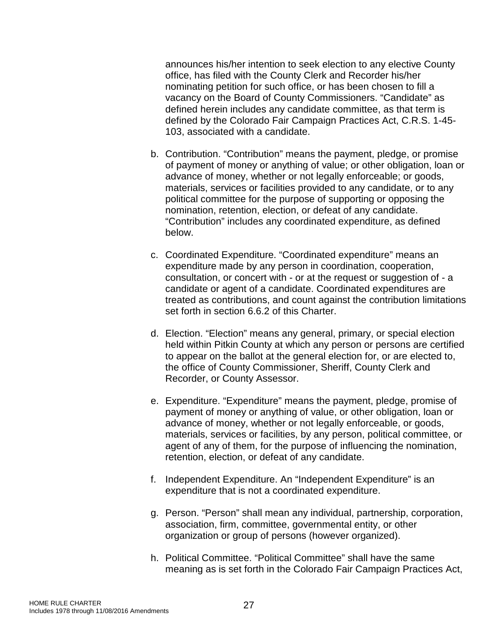announces his/her intention to seek election to any elective County office, has filed with the County Clerk and Recorder his/her nominating petition for such office, or has been chosen to fill a vacancy on the Board of County Commissioners. "Candidate" as defined herein includes any candidate committee, as that term is defined by the Colorado Fair Campaign Practices Act, C.R.S. 1-45- 103, associated with a candidate.

- b. Contribution. "Contribution" means the payment, pledge, or promise of payment of money or anything of value; or other obligation, loan or advance of money, whether or not legally enforceable; or goods, materials, services or facilities provided to any candidate, or to any political committee for the purpose of supporting or opposing the nomination, retention, election, or defeat of any candidate. "Contribution" includes any coordinated expenditure, as defined below.
- c. Coordinated Expenditure. "Coordinated expenditure" means an expenditure made by any person in coordination, cooperation, consultation, or concert with - or at the request or suggestion of - a candidate or agent of a candidate. Coordinated expenditures are treated as contributions, and count against the contribution limitations set forth in section 6.6.2 of this Charter.
- d. Election. "Election" means any general, primary, or special election held within Pitkin County at which any person or persons are certified to appear on the ballot at the general election for, or are elected to, the office of County Commissioner, Sheriff, County Clerk and Recorder, or County Assessor.
- e. Expenditure. "Expenditure" means the payment, pledge, promise of payment of money or anything of value, or other obligation, loan or advance of money, whether or not legally enforceable, or goods, materials, services or facilities, by any person, political committee, or agent of any of them, for the purpose of influencing the nomination, retention, election, or defeat of any candidate.
- f. Independent Expenditure. An "Independent Expenditure" is an expenditure that is not a coordinated expenditure.
- g. Person. "Person" shall mean any individual, partnership, corporation, association, firm, committee, governmental entity, or other organization or group of persons (however organized).
- h. Political Committee. "Political Committee" shall have the same meaning as is set forth in the Colorado Fair Campaign Practices Act,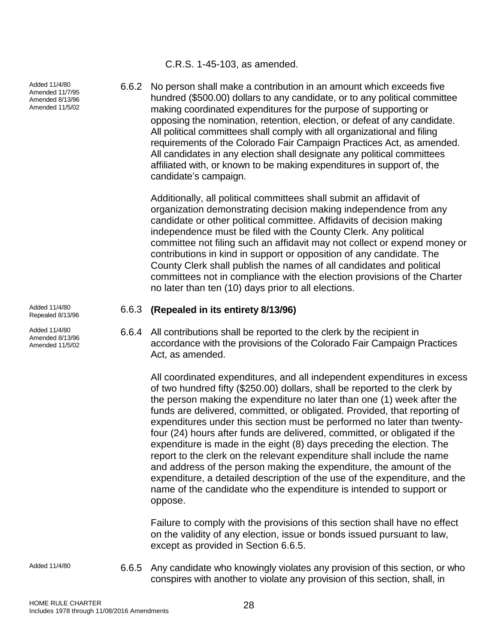Added 11/4/80 Amended 11/7/95 Amended 8/13/96 Amended 11/5/02

Added 11/4/80<br>Repealed 8/13/96

Added 11/4/80 Amended 8/13/96 Amended 11/5/02 C.R.S. 1-45-103, as amended.

6.6.2 No person shall make a contribution in an amount which exceeds five hundred (\$500.00) dollars to any candidate, or to any political committee making coordinated expenditures for the purpose of supporting or opposing the nomination, retention, election, or defeat of any candidate. All political committees shall comply with all organizational and filing requirements of the Colorado Fair Campaign Practices Act, as amended. All candidates in any election shall designate any political committees affiliated with, or known to be making expenditures in support of, the candidate's campaign.

Additionally, all political committees shall submit an affidavit of organization demonstrating decision making independence from any candidate or other political committee. Affidavits of decision making independence must be filed with the County Clerk. Any political committee not filing such an affidavit may not collect or expend money or contributions in kind in support or opposition of any candidate. The County Clerk shall publish the names of all candidates and political committees not in compliance with the election provisions of the Charter no later than ten (10) days prior to all elections.

#### Repealed 8/13/96 6.6.3 **(Repealed in its entirety 8/13/96)**

6.6.4 All contributions shall be reported to the clerk by the recipient in accordance with the provisions of the Colorado Fair Campaign Practices Act, as amended.

All coordinated expenditures, and all independent expenditures in excess of two hundred fifty (\$250.00) dollars, shall be reported to the clerk by the person making the expenditure no later than one (1) week after the funds are delivered, committed, or obligated. Provided, that reporting of expenditures under this section must be performed no later than twentyfour (24) hours after funds are delivered, committed, or obligated if the expenditure is made in the eight (8) days preceding the election. The report to the clerk on the relevant expenditure shall include the name and address of the person making the expenditure, the amount of the expenditure, a detailed description of the use of the expenditure, and the name of the candidate who the expenditure is intended to support or oppose.

Failure to comply with the provisions of this section shall have no effect on the validity of any election, issue or bonds issued pursuant to law, except as provided in Section 6.6.5.

Added 11/4/80 6.6.5 Any candidate who knowingly violates any provision of this section, or who conspires with another to violate any provision of this section, shall, in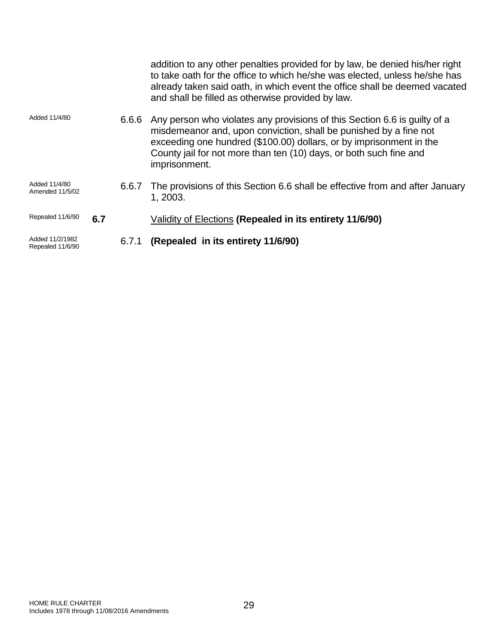|                                     |     |       | addition to any other penalties provided for by law, be denied his/her right<br>to take oath for the office to which he/she was elected, unless he/she has<br>already taken said oath, in which event the office shall be deemed vacated<br>and shall be filled as otherwise provided by law.                |
|-------------------------------------|-----|-------|--------------------------------------------------------------------------------------------------------------------------------------------------------------------------------------------------------------------------------------------------------------------------------------------------------------|
| Added 11/4/80                       |     | 6.6.6 | Any person who violates any provisions of this Section 6.6 is guilty of a<br>misdemeanor and, upon conviction, shall be punished by a fine not<br>exceeding one hundred (\$100.00) dollars, or by imprisonment in the<br>County jail for not more than ten (10) days, or both such fine and<br>imprisonment. |
| Added 11/4/80<br>Amended 11/5/02    |     | 6.6.7 | The provisions of this Section 6.6 shall be effective from and after January<br>1, 2003.                                                                                                                                                                                                                     |
| Repealed 11/6/90                    | 6.7 |       | Validity of Elections (Repealed in its entirety 11/6/90)                                                                                                                                                                                                                                                     |
| Added 11/2/1982<br>Repealed 11/6/90 |     | 6.7.1 | (Repealed in its entirety 11/6/90)                                                                                                                                                                                                                                                                           |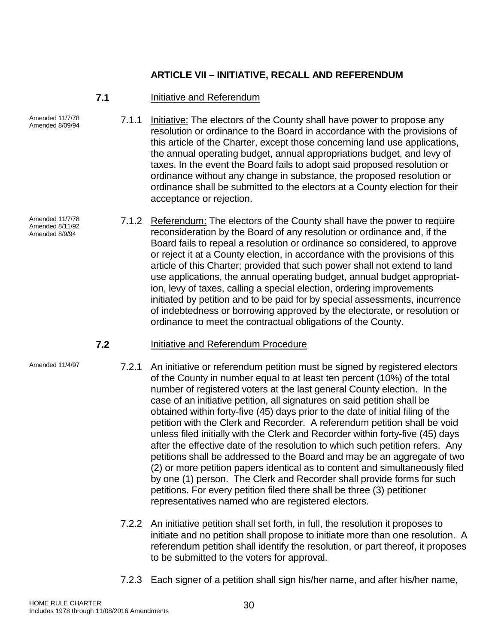# **ARTICLE VII – INITIATIVE, RECALL AND REFERENDUM**

# **7.1** Initiative and Referendum

Amended 11/7/78

Amended 11/7/78 Amended 8/11/92 Amended 8/9/94

- 7.1.1 Initiative: The electors of the County shall have power to propose any resolution or ordinance to the Board in accordance with the provisions of this article of the Charter, except those concerning land use applications, the annual operating budget, annual appropriations budget, and levy of taxes. In the event the Board fails to adopt said proposed resolution or ordinance without any change in substance, the proposed resolution or ordinance shall be submitted to the electors at a County election for their acceptance or rejection.
- 7.1.2 Referendum: The electors of the County shall have the power to require reconsideration by the Board of any resolution or ordinance and, if the Board fails to repeal a resolution or ordinance so considered, to approve or reject it at a County election, in accordance with the provisions of this article of this Charter; provided that such power shall not extend to land use applications, the annual operating budget, annual budget appropriation, levy of taxes, calling a special election, ordering improvements initiated by petition and to be paid for by special assessments, incurrence of indebtedness or borrowing approved by the electorate, or resolution or ordinance to meet the contractual obligations of the County.

# **7.2** Initiative and Referendum Procedure

- Amended 11/4/97 **7.2.1** An initiative or referendum petition must be signed by registered electors of the County in number equal to at least ten percent (10%) of the total number of registered voters at the last general County election. In the case of an initiative petition, all signatures on said petition shall be obtained within forty-five (45) days prior to the date of initial filing of the petition with the Clerk and Recorder. A referendum petition shall be void unless filed initially with the Clerk and Recorder within forty-five (45) days after the effective date of the resolution to which such petition refers. Any petitions shall be addressed to the Board and may be an aggregate of two (2) or more petition papers identical as to content and simultaneously filed by one (1) person. The Clerk and Recorder shall provide forms for such petitions. For every petition filed there shall be three (3) petitioner representatives named who are registered electors.
	- 7.2.2 An initiative petition shall set forth, in full, the resolution it proposes to initiate and no petition shall propose to initiate more than one resolution. A referendum petition shall identify the resolution, or part thereof, it proposes to be submitted to the voters for approval.
	- 7.2.3 Each signer of a petition shall sign his/her name, and after his/her name,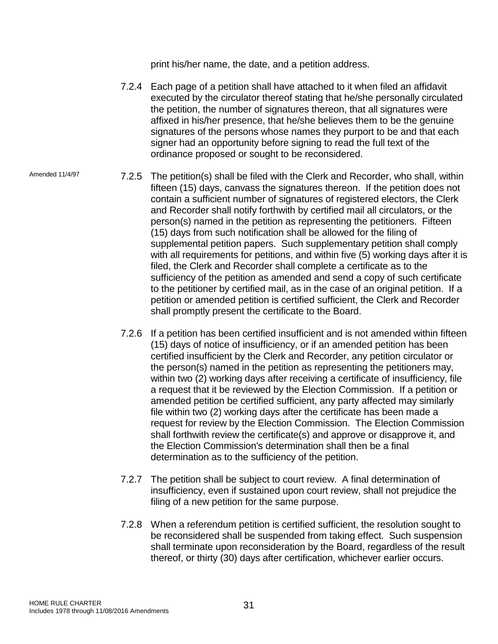print his/her name, the date, and a petition address.

- 7.2.4 Each page of a petition shall have attached to it when filed an affidavit executed by the circulator thereof stating that he/she personally circulated the petition, the number of signatures thereon, that all signatures were affixed in his/her presence, that he/she believes them to be the genuine signatures of the persons whose names they purport to be and that each signer had an opportunity before signing to read the full text of the ordinance proposed or sought to be reconsidered.
- Amended 11/4/97 7.2.5 The petition(s) shall be filed with the Clerk and Recorder, who shall, within fifteen (15) days, canvass the signatures thereon. If the petition does not contain a sufficient number of signatures of registered electors, the Clerk and Recorder shall notify forthwith by certified mail all circulators, or the person(s) named in the petition as representing the petitioners. Fifteen (15) days from such notification shall be allowed for the filing of supplemental petition papers. Such supplementary petition shall comply with all requirements for petitions, and within five (5) working days after it is filed, the Clerk and Recorder shall complete a certificate as to the sufficiency of the petition as amended and send a copy of such certificate to the petitioner by certified mail, as in the case of an original petition. If a petition or amended petition is certified sufficient, the Clerk and Recorder shall promptly present the certificate to the Board.
	- 7.2.6 If a petition has been certified insufficient and is not amended within fifteen (15) days of notice of insufficiency, or if an amended petition has been certified insufficient by the Clerk and Recorder, any petition circulator or the person(s) named in the petition as representing the petitioners may, within two (2) working days after receiving a certificate of insufficiency, file a request that it be reviewed by the Election Commission. If a petition or amended petition be certified sufficient, any party affected may similarly file within two (2) working days after the certificate has been made a request for review by the Election Commission. The Election Commission shall forthwith review the certificate(s) and approve or disapprove it, and the Election Commission's determination shall then be a final determination as to the sufficiency of the petition.
	- 7.2.7 The petition shall be subject to court review. A final determination of insufficiency, even if sustained upon court review, shall not prejudice the filing of a new petition for the same purpose.
	- 7.2.8 When a referendum petition is certified sufficient, the resolution sought to be reconsidered shall be suspended from taking effect. Such suspension shall terminate upon reconsideration by the Board, regardless of the result thereof, or thirty (30) days after certification, whichever earlier occurs.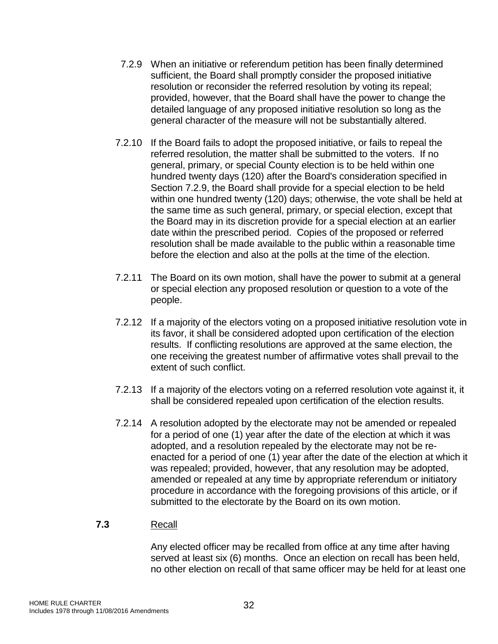- 7.2.9 When an initiative or referendum petition has been finally determined sufficient, the Board shall promptly consider the proposed initiative resolution or reconsider the referred resolution by voting its repeal; provided, however, that the Board shall have the power to change the detailed language of any proposed initiative resolution so long as the general character of the measure will not be substantially altered.
- 7.2.10 If the Board fails to adopt the proposed initiative, or fails to repeal the referred resolution, the matter shall be submitted to the voters. If no general, primary, or special County election is to be held within one hundred twenty days (120) after the Board's consideration specified in Section 7.2.9, the Board shall provide for a special election to be held within one hundred twenty (120) days; otherwise, the vote shall be held at the same time as such general, primary, or special election, except that the Board may in its discretion provide for a special election at an earlier date within the prescribed period. Copies of the proposed or referred resolution shall be made available to the public within a reasonable time before the election and also at the polls at the time of the election.
- 7.2.11 The Board on its own motion, shall have the power to submit at a general or special election any proposed resolution or question to a vote of the people.
- 7.2.12 If a majority of the electors voting on a proposed initiative resolution vote in its favor, it shall be considered adopted upon certification of the election results. If conflicting resolutions are approved at the same election, the one receiving the greatest number of affirmative votes shall prevail to the extent of such conflict.
- 7.2.13 If a majority of the electors voting on a referred resolution vote against it, it shall be considered repealed upon certification of the election results.
- 7.2.14 A resolution adopted by the electorate may not be amended or repealed for a period of one (1) year after the date of the election at which it was adopted, and a resolution repealed by the electorate may not be reenacted for a period of one (1) year after the date of the election at which it was repealed; provided, however, that any resolution may be adopted, amended or repealed at any time by appropriate referendum or initiatory procedure in accordance with the foregoing provisions of this article, or if submitted to the electorate by the Board on its own motion.

# **7.3** Recall

Any elected officer may be recalled from office at any time after having served at least six (6) months. Once an election on recall has been held, no other election on recall of that same officer may be held for at least one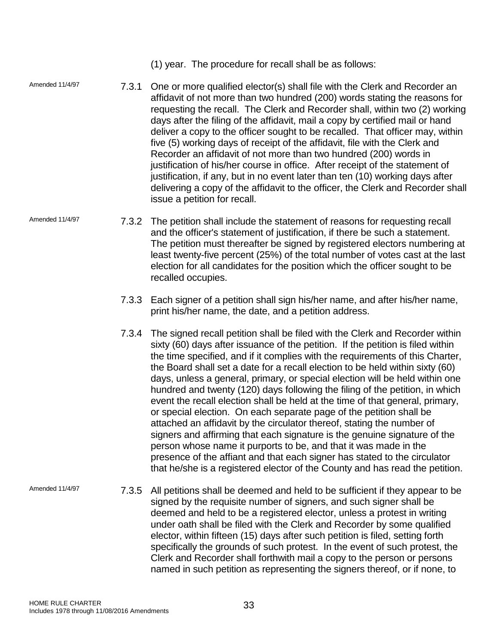(1) year. The procedure for recall shall be as follows:

- Amended 11/4/97 7.3.1 One or more qualified elector(s) shall file with the Clerk and Recorder an affidavit of not more than two hundred (200) words stating the reasons for requesting the recall. The Clerk and Recorder shall, within two (2) working days after the filing of the affidavit, mail a copy by certified mail or hand deliver a copy to the officer sought to be recalled. That officer may, within five (5) working days of receipt of the affidavit, file with the Clerk and Recorder an affidavit of not more than two hundred (200) words in justification of his/her course in office. After receipt of the statement of justification, if any, but in no event later than ten (10) working days after delivering a copy of the affidavit to the officer, the Clerk and Recorder shall issue a petition for recall.
- Amended 11/4/97 7.3.2 The petition shall include the statement of reasons for requesting recall and the officer's statement of justification, if there be such a statement. The petition must thereafter be signed by registered electors numbering at least twenty-five percent (25%) of the total number of votes cast at the last election for all candidates for the position which the officer sought to be recalled occupies.
	- 7.3.3 Each signer of a petition shall sign his/her name, and after his/her name, print his/her name, the date, and a petition address.
	- 7.3.4 The signed recall petition shall be filed with the Clerk and Recorder within sixty (60) days after issuance of the petition. If the petition is filed within the time specified, and if it complies with the requirements of this Charter, the Board shall set a date for a recall election to be held within sixty (60) days, unless a general, primary, or special election will be held within one hundred and twenty (120) days following the filing of the petition, in which event the recall election shall be held at the time of that general, primary, or special election. On each separate page of the petition shall be attached an affidavit by the circulator thereof, stating the number of signers and affirming that each signature is the genuine signature of the person whose name it purports to be, and that it was made in the presence of the affiant and that each signer has stated to the circulator that he/she is a registered elector of the County and has read the petition.
- Amended 11/4/97 7.3.5 All petitions shall be deemed and held to be sufficient if they appear to be signed by the requisite number of signers, and such signer shall be deemed and held to be a registered elector, unless a protest in writing under oath shall be filed with the Clerk and Recorder by some qualified elector, within fifteen (15) days after such petition is filed, setting forth specifically the grounds of such protest. In the event of such protest, the Clerk and Recorder shall forthwith mail a copy to the person or persons named in such petition as representing the signers thereof, or if none, to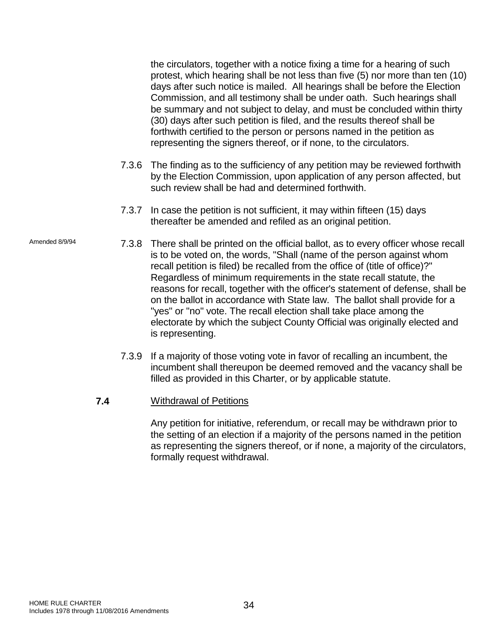the circulators, together with a notice fixing a time for a hearing of such protest, which hearing shall be not less than five (5) nor more than ten (10) days after such notice is mailed. All hearings shall be before the Election Commission, and all testimony shall be under oath. Such hearings shall be summary and not subject to delay, and must be concluded within thirty (30) days after such petition is filed, and the results thereof shall be forthwith certified to the person or persons named in the petition as representing the signers thereof, or if none, to the circulators.

- 7.3.6 The finding as to the sufficiency of any petition may be reviewed forthwith by the Election Commission, upon application of any person affected, but such review shall be had and determined forthwith.
- 7.3.7 In case the petition is not sufficient, it may within fifteen (15) days thereafter be amended and refiled as an original petition.
- Amended 8/9/94 7.3.8 There shall be printed on the official ballot, as to every officer whose recall is to be voted on, the words, "Shall (name of the person against whom recall petition is filed) be recalled from the office of (title of office)?" Regardless of minimum requirements in the state recall statute, the reasons for recall, together with the officer's statement of defense, shall be on the ballot in accordance with State law. The ballot shall provide for a "yes" or "no" vote. The recall election shall take place among the electorate by which the subject County Official was originally elected and is representing.
	- 7.3.9 If a majority of those voting vote in favor of recalling an incumbent, the incumbent shall thereupon be deemed removed and the vacancy shall be filled as provided in this Charter, or by applicable statute.
	- **7.4** Withdrawal of Petitions

Any petition for initiative, referendum, or recall may be withdrawn prior to the setting of an election if a majority of the persons named in the petition as representing the signers thereof, or if none, a majority of the circulators, formally request withdrawal.

HOME RULE CHARTER HOME RULE CHARTER<br>Includes 1978 through 11/08/2016 Amendments 34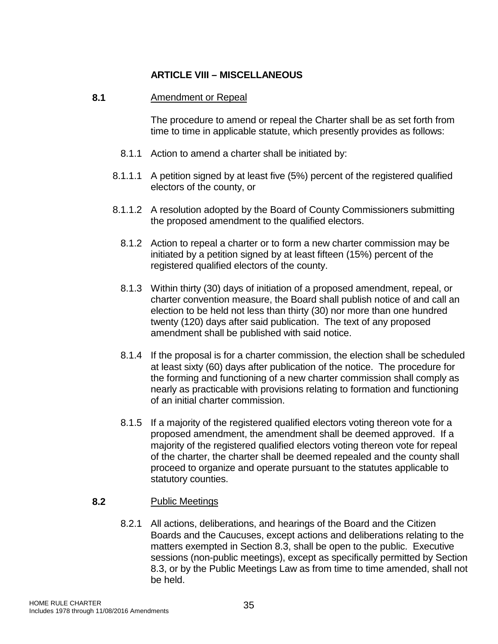# **ARTICLE VIII – MISCELLANEOUS**

# **8.1** Amendment or Repeal

The procedure to amend or repeal the Charter shall be as set forth from time to time in applicable statute, which presently provides as follows:

- 8.1.1 Action to amend a charter shall be initiated by:
- 8.1.1.1 A petition signed by at least five (5%) percent of the registered qualified electors of the county, or
- 8.1.1.2 A resolution adopted by the Board of County Commissioners submitting the proposed amendment to the qualified electors.
	- 8.1.2 Action to repeal a charter or to form a new charter commission may be initiated by a petition signed by at least fifteen (15%) percent of the registered qualified electors of the county.
	- 8.1.3 Within thirty (30) days of initiation of a proposed amendment, repeal, or charter convention measure, the Board shall publish notice of and call an election to be held not less than thirty (30) nor more than one hundred twenty (120) days after said publication. The text of any proposed amendment shall be published with said notice.
	- 8.1.4 If the proposal is for a charter commission, the election shall be scheduled at least sixty (60) days after publication of the notice. The procedure for the forming and functioning of a new charter commission shall comply as nearly as practicable with provisions relating to formation and functioning of an initial charter commission.
	- 8.1.5 If a majority of the registered qualified electors voting thereon vote for a proposed amendment, the amendment shall be deemed approved. If a majority of the registered qualified electors voting thereon vote for repeal of the charter, the charter shall be deemed repealed and the county shall proceed to organize and operate pursuant to the statutes applicable to statutory counties.

# **8.2** Public Meetings

8.2.1 All actions, deliberations, and hearings of the Board and the Citizen Boards and the Caucuses, except actions and deliberations relating to the matters exempted in Section 8.3, shall be open to the public. Executive sessions (non-public meetings), except as specifically permitted by Section 8.3, or by the Public Meetings Law as from time to time amended, shall not be held.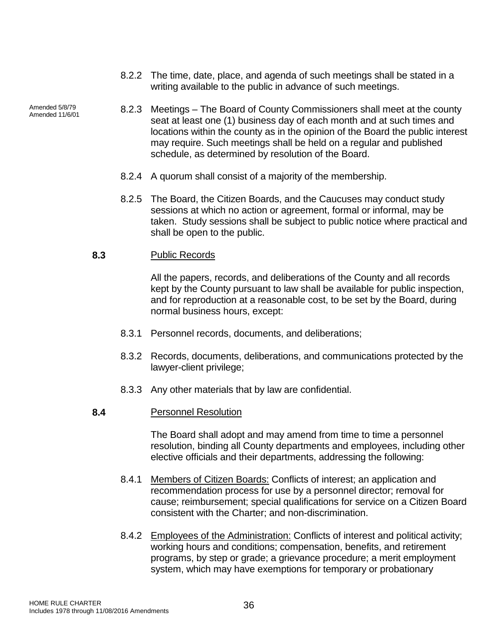- 8.2.2 The time, date, place, and agenda of such meetings shall be stated in a writing available to the public in advance of such meetings.
- 8.2.3 Meetings The Board of County Commissioners shall meet at the county seat at least one (1) business day of each month and at such times and locations within the county as in the opinion of the Board the public interest may require. Such meetings shall be held on a regular and published schedule, as determined by resolution of the Board.
	- 8.2.4 A quorum shall consist of a majority of the membership.
	- 8.2.5 The Board, the Citizen Boards, and the Caucuses may conduct study sessions at which no action or agreement, formal or informal, may be taken. Study sessions shall be subject to public notice where practical and shall be open to the public.

#### **8.3** Public Records

Amended 5/8/79<br>Amended 11/6/01

All the papers, records, and deliberations of the County and all records kept by the County pursuant to law shall be available for public inspection, and for reproduction at a reasonable cost, to be set by the Board, during normal business hours, except:

- 8.3.1 Personnel records, documents, and deliberations;
- 8.3.2 Records, documents, deliberations, and communications protected by the lawyer-client privilege;
- 8.3.3 Any other materials that by law are confidential.

# **8.4** Personnel Resolution

The Board shall adopt and may amend from time to time a personnel resolution, binding all County departments and employees, including other elective officials and their departments, addressing the following:

- 8.4.1 Members of Citizen Boards: Conflicts of interest; an application and recommendation process for use by a personnel director; removal for cause; reimbursement; special qualifications for service on a Citizen Board consistent with the Charter; and non-discrimination.
- 8.4.2 Employees of the Administration: Conflicts of interest and political activity; working hours and conditions; compensation, benefits, and retirement programs, by step or grade; a grievance procedure; a merit employment system, which may have exemptions for temporary or probationary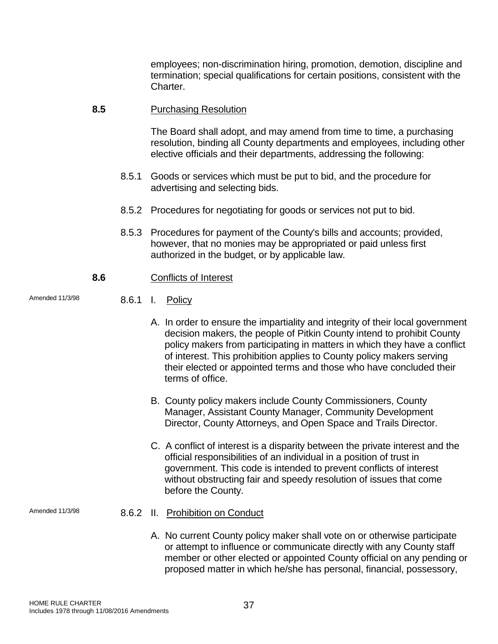employees; non-discrimination hiring, promotion, demotion, discipline and termination; special qualifications for certain positions, consistent with the Charter.

#### **8.5** Purchasing Resolution

The Board shall adopt, and may amend from time to time, a purchasing resolution, binding all County departments and employees, including other elective officials and their departments, addressing the following:

- 8.5.1 Goods or services which must be put to bid, and the procedure for advertising and selecting bids.
- 8.5.2 Procedures for negotiating for goods or services not put to bid.
- 8.5.3 Procedures for payment of the County's bills and accounts; provided, however, that no monies may be appropriated or paid unless first authorized in the budget, or by applicable law.

# **8.6** Conflicts of Interest

- Amended 11/3/98 8.6.1 I. Policy
	- A. In order to ensure the impartiality and integrity of their local government decision makers, the people of Pitkin County intend to prohibit County policy makers from participating in matters in which they have a conflict of interest. This prohibition applies to County policy makers serving their elected or appointed terms and those who have concluded their terms of office.
	- B. County policy makers include County Commissioners, County Manager, Assistant County Manager, Community Development Director, County Attorneys, and Open Space and Trails Director.
	- C. A conflict of interest is a disparity between the private interest and the official responsibilities of an individual in a position of trust in government. This code is intended to prevent conflicts of interest without obstructing fair and speedy resolution of issues that come before the County.

- Amended 11/3/98 8.6.2 II. Prohibition on Conduct
	- A. No current County policy maker shall vote on or otherwise participate or attempt to influence or communicate directly with any County staff member or other elected or appointed County official on any pending or proposed matter in which he/she has personal, financial, possessory,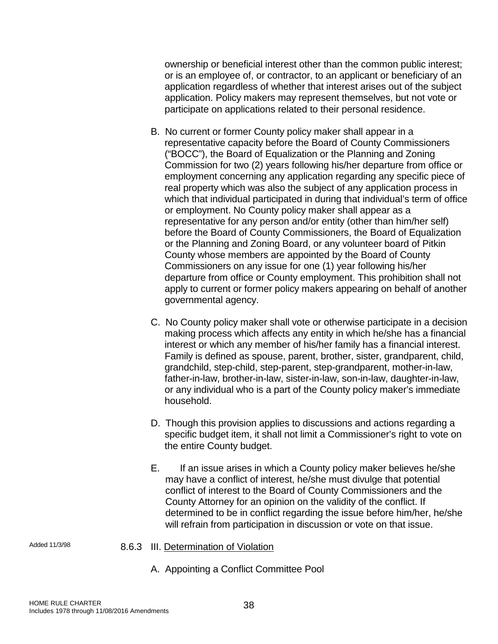ownership or beneficial interest other than the common public interest; or is an employee of, or contractor, to an applicant or beneficiary of an application regardless of whether that interest arises out of the subject application. Policy makers may represent themselves, but not vote or participate on applications related to their personal residence.

- B. No current or former County policy maker shall appear in a representative capacity before the Board of County Commissioners ("BOCC"), the Board of Equalization or the Planning and Zoning Commission for two (2) years following his/her departure from office or employment concerning any application regarding any specific piece of real property which was also the subject of any application process in which that individual participated in during that individual's term of office or employment. No County policy maker shall appear as a representative for any person and/or entity (other than him/her self) before the Board of County Commissioners, the Board of Equalization or the Planning and Zoning Board, or any volunteer board of Pitkin County whose members are appointed by the Board of County Commissioners on any issue for one (1) year following his/her departure from office or County employment. This prohibition shall not apply to current or former policy makers appearing on behalf of another governmental agency.
- C. No County policy maker shall vote or otherwise participate in a decision making process which affects any entity in which he/she has a financial interest or which any member of his/her family has a financial interest. Family is defined as spouse, parent, brother, sister, grandparent, child, grandchild, step-child, step-parent, step-grandparent, mother-in-law, father-in-law, brother-in-law, sister-in-law, son-in-law, daughter-in-law, or any individual who is a part of the County policy maker's immediate household.
- D. Though this provision applies to discussions and actions regarding a specific budget item, it shall not limit a Commissioner's right to vote on the entire County budget.
- E. If an issue arises in which a County policy maker believes he/she may have a conflict of interest, he/she must divulge that potential conflict of interest to the Board of County Commissioners and the County Attorney for an opinion on the validity of the conflict. If determined to be in conflict regarding the issue before him/her, he/she will refrain from participation in discussion or vote on that issue.

- 
- Added 11/3/98 8.6.3 III. Determination of Violation
	- A. Appointing a Conflict Committee Pool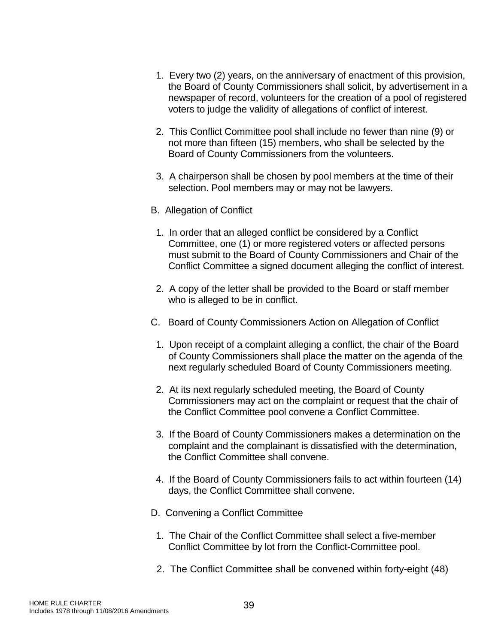- 1. Every two (2) years, on the anniversary of enactment of this provision, the Board of County Commissioners shall solicit, by advertisement in a newspaper of record, volunteers for the creation of a pool of registered voters to judge the validity of allegations of conflict of interest.
- 2. This Conflict Committee pool shall include no fewer than nine (9) or not more than fifteen (15) members, who shall be selected by the Board of County Commissioners from the volunteers.
- 3. A chairperson shall be chosen by pool members at the time of their selection. Pool members may or may not be lawyers.
- B. Allegation of Conflict
	- 1. In order that an alleged conflict be considered by a Conflict Committee, one (1) or more registered voters or affected persons must submit to the Board of County Commissioners and Chair of the Conflict Committee a signed document alleging the conflict of interest.
- 2. A copy of the letter shall be provided to the Board or staff member who is alleged to be in conflict.
- C. Board of County Commissioners Action on Allegation of Conflict
- 1. Upon receipt of a complaint alleging a conflict, the chair of the Board of County Commissioners shall place the matter on the agenda of the next regularly scheduled Board of County Commissioners meeting.
- 2. At its next regularly scheduled meeting, the Board of County Commissioners may act on the complaint or request that the chair of the Conflict Committee pool convene a Conflict Committee.
- 3. If the Board of County Commissioners makes a determination on the complaint and the complainant is dissatisfied with the determination, the Conflict Committee shall convene.
- 4. If the Board of County Commissioners fails to act within fourteen (14) days, the Conflict Committee shall convene.
- D. Convening a Conflict Committee
	- 1. The Chair of the Conflict Committee shall select a five-member Conflict Committee by lot from the Conflict-Committee pool.
	- 2. The Conflict Committee shall be convened within forty-eight (48)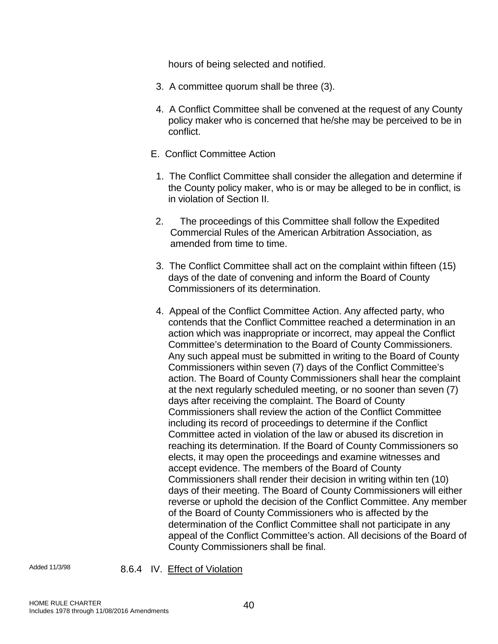hours of being selected and notified.

- 3. A committee quorum shall be three (3).
- 4. A Conflict Committee shall be convened at the request of any County policy maker who is concerned that he/she may be perceived to be in conflict.
- E. Conflict Committee Action
	- 1. The Conflict Committee shall consider the allegation and determine if the County policy maker, who is or may be alleged to be in conflict, is in violation of Section II.
- 2. The proceedings of this Committee shall follow the Expedited Commercial Rules of the American Arbitration Association, as amended from time to time.
- 3. The Conflict Committee shall act on the complaint within fifteen (15) days of the date of convening and inform the Board of County Commissioners of its determination.
- 4. Appeal of the Conflict Committee Action. Any affected party, who contends that the Conflict Committee reached a determination in an action which was inappropriate or incorrect, may appeal the Conflict Committee's determination to the Board of County Commissioners. Any such appeal must be submitted in writing to the Board of County Commissioners within seven (7) days of the Conflict Committee's action. The Board of County Commissioners shall hear the complaint at the next regularly scheduled meeting, or no sooner than seven (7) days after receiving the complaint. The Board of County Commissioners shall review the action of the Conflict Committee including its record of proceedings to determine if the Conflict Committee acted in violation of the law or abused its discretion in reaching its determination. If the Board of County Commissioners so elects, it may open the proceedings and examine witnesses and accept evidence. The members of the Board of County Commissioners shall render their decision in writing within ten (10) days of their meeting. The Board of County Commissioners will either reverse or uphold the decision of the Conflict Committee. Any member of the Board of County Commissioners who is affected by the determination of the Conflict Committee shall not participate in any appeal of the Conflict Committee's action. All decisions of the Board of County Commissioners shall be final.

Added 11/3/98 8.6.4 IV. Effect of Violation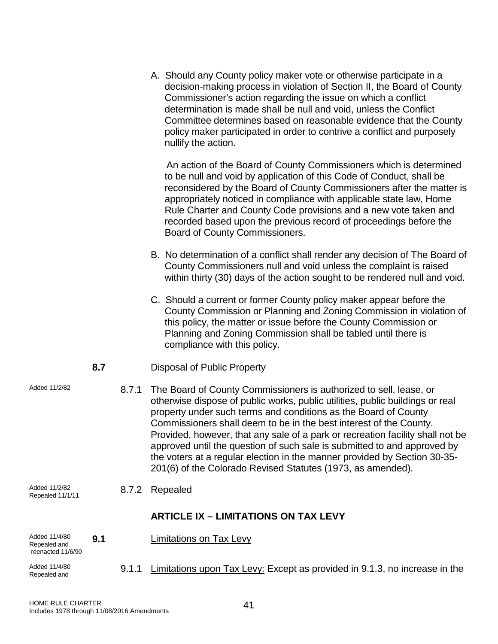A. Should any County policy maker vote or otherwise participate in a decision-making process in violation of Section II, the Board of County Commissioner's action regarding the issue on which a conflict determination is made shall be null and void, unless the Conflict Committee determines based on reasonable evidence that the County policy maker participated in order to contrive a conflict and purposely nullify the action.

 An action of the Board of County Commissioners which is determined to be null and void by application of this Code of Conduct, shall be reconsidered by the Board of County Commissioners after the matter is appropriately noticed in compliance with applicable state law, Home Rule Charter and County Code provisions and a new vote taken and recorded based upon the previous record of proceedings before the Board of County Commissioners.

- B. No determination of a conflict shall render any decision of The Board of County Commissioners null and void unless the complaint is raised within thirty (30) days of the action sought to be rendered null and void.
- C. Should a current or former County policy maker appear before the County Commission or Planning and Zoning Commission in violation of this policy, the matter or issue before the County Commission or Planning and Zoning Commission shall be tabled until there is compliance with this policy.

# **8.7** Disposal of Public Property

Added 11/2/82 **8.7.1** The Board of County Commissioners is authorized to sell, lease, or otherwise dispose of public works, public utilities, public buildings or real property under such terms and conditions as the Board of County Commissioners shall deem to be in the best interest of the County. Provided, however, that any sale of a park or recreation facility shall not be approved until the question of such sale is submitted to and approved by the voters at a regular election in the manner provided by Section 30-35- 201(6) of the Colorado Revised Statutes (1973, as amended).

Added 11/2/82<br>Repealed 11/1/11

8.7.2 Repealed

# **ARTICLE IX – LIMITATIONS ON TAX LEVY**

Added 11/4/80 Repealed and **9.1** Limitations on Tax Levy

reenacted 11/6/90 Added 11/4/80

Added 11/4/80 **9.1.1** Limitations upon Tax Levy: Except as provided in 9.1.3, no increase in the Repealed and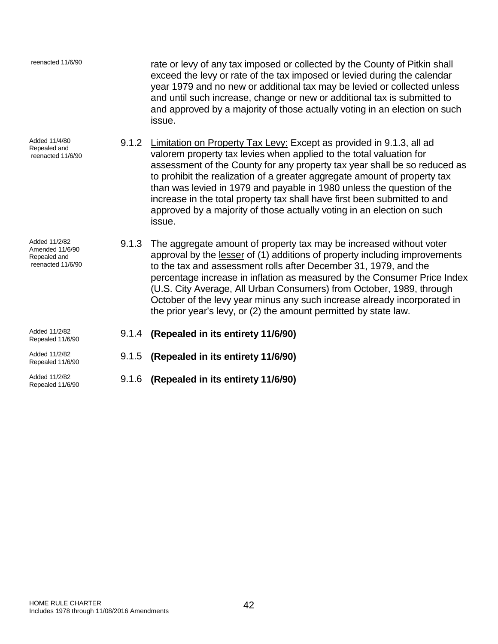| reenacted 11/6/90                                                     |       | rate or levy of any tax imposed or collected by the County of Pitkin shall<br>exceed the levy or rate of the tax imposed or levied during the calendar<br>year 1979 and no new or additional tax may be levied or collected unless<br>and until such increase, change or new or additional tax is submitted to<br>and approved by a majority of those actually voting in an election on such<br>issue.                                                                                                                                           |
|-----------------------------------------------------------------------|-------|--------------------------------------------------------------------------------------------------------------------------------------------------------------------------------------------------------------------------------------------------------------------------------------------------------------------------------------------------------------------------------------------------------------------------------------------------------------------------------------------------------------------------------------------------|
| Added 11/4/80<br>Repealed and<br>reenacted 11/6/90                    | 9.1.2 | Limitation on Property Tax Levy: Except as provided in 9.1.3, all ad<br>valorem property tax levies when applied to the total valuation for<br>assessment of the County for any property tax year shall be so reduced as<br>to prohibit the realization of a greater aggregate amount of property tax<br>than was levied in 1979 and payable in 1980 unless the question of the<br>increase in the total property tax shall have first been submitted to and<br>approved by a majority of those actually voting in an election on such<br>issue. |
| Added 11/2/82<br>Amended 11/6/90<br>Repealed and<br>reenacted 11/6/90 | 9.1.3 | The aggregate amount of property tax may be increased without voter<br>approval by the lesser of (1) additions of property including improvements<br>to the tax and assessment rolls after December 31, 1979, and the<br>percentage increase in inflation as measured by the Consumer Price Index<br>(U.S. City Average, All Urban Consumers) from October, 1989, through<br>October of the levy year minus any such increase already incorporated in<br>the prior year's levy, or (2) the amount permitted by state law.                        |
| Added 11/2/82<br>Repealed 11/6/90                                     |       | 9.1.4 (Repealed in its entirety 11/6/90)                                                                                                                                                                                                                                                                                                                                                                                                                                                                                                         |
| Added 11/2/82<br>Repealed 11/6/90                                     |       | 9.1.5 (Repealed in its entirety 11/6/90)                                                                                                                                                                                                                                                                                                                                                                                                                                                                                                         |
| Added 11/2/82<br>Repealed 11/6/90                                     |       | 9.1.6 (Repealed in its entirety 11/6/90)                                                                                                                                                                                                                                                                                                                                                                                                                                                                                                         |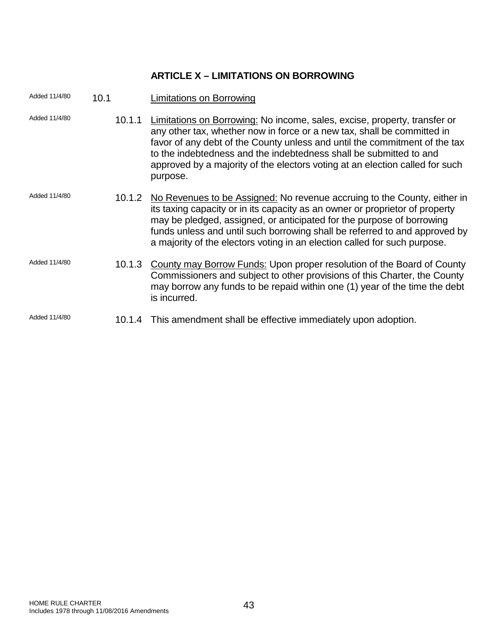# **ARTICLE X – LIMITATIONS ON BORROWING**

| Added 11/4/80 | 10.1   | <b>Limitations on Borrowing</b>                                                                                                                                                                                                                                                                                                                                                                      |
|---------------|--------|------------------------------------------------------------------------------------------------------------------------------------------------------------------------------------------------------------------------------------------------------------------------------------------------------------------------------------------------------------------------------------------------------|
| Added 11/4/80 | 10.1.1 | Limitations on Borrowing: No income, sales, excise, property, transfer or<br>any other tax, whether now in force or a new tax, shall be committed in<br>favor of any debt of the County unless and until the commitment of the tax<br>to the indebtedness and the indebtedness shall be submitted to and<br>approved by a majority of the electors voting at an election called for such<br>purpose. |
| Added 11/4/80 |        | 10.1.2 No Revenues to be Assigned: No revenue accruing to the County, either in<br>its taxing capacity or in its capacity as an owner or proprietor of property<br>may be pledged, assigned, or anticipated for the purpose of borrowing<br>funds unless and until such borrowing shall be referred to and approved by<br>a majority of the electors voting in an election called for such purpose.  |
| Added 11/4/80 | 10.1.3 | County may Borrow Funds: Upon proper resolution of the Board of County<br>Commissioners and subject to other provisions of this Charter, the County<br>may borrow any funds to be repaid within one (1) year of the time the debt<br>is incurred.                                                                                                                                                    |
| Added 11/4/80 |        | 10.1.4 This amendment shall be effective immediately upon adoption.                                                                                                                                                                                                                                                                                                                                  |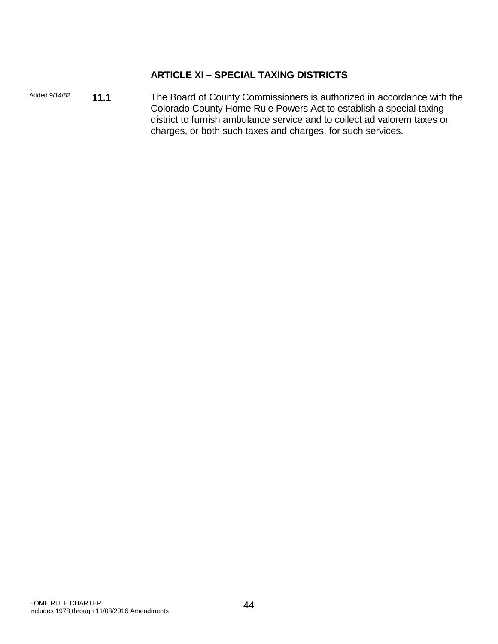# **ARTICLE XI – SPECIAL TAXING DISTRICTS**

Added 9/14/82 **11.1** The Board of County Commissioners is authorized in accordance with the Colorado County Home Rule Powers Act to establish a special taxing district to furnish ambulance service and to collect ad valorem taxes or charges, or both such taxes and charges, for such services.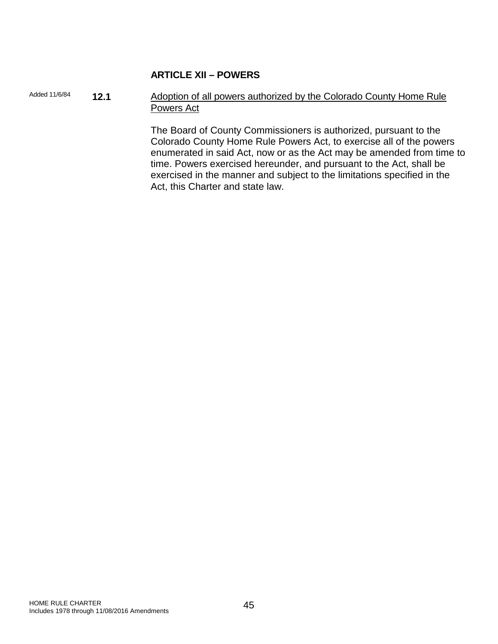# **ARTICLE XII – POWERS**

Added 11/6/84 **12.1** Adoption of all powers authorized by the Colorado County Home Rule Powers Act

> The Board of County Commissioners is authorized, pursuant to the Colorado County Home Rule Powers Act, to exercise all of the powers enumerated in said Act, now or as the Act may be amended from time to time. Powers exercised hereunder, and pursuant to the Act, shall be exercised in the manner and subject to the limitations specified in the Act, this Charter and state law.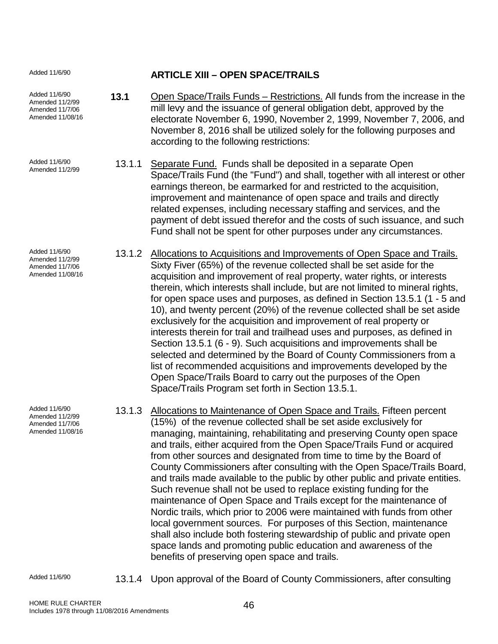Added 11/6/90 **ARTICLE XIII – OPEN SPACE/TRAILS**

Added 11/6/90 Amended 11/2/99 Amended 11/7/06 Amended 11/08/16

Added 11/6/90

Added 11/6/90 Amended 11/2/99 Amended 11/7/06 Amended 11/08/16

Added 11/6/90 Amended 11/2/99 Amended 11/7/06 Amended 11/08/16

Added 11/6/90 13.1.1 Separate Fund. Funds shall be deposited in a separate Open Amended 11/2/99 Space/Trails Fund (the "Fund") and shall, together with all interest or other earnings thereon, be earmarked for and restricted to the acquisition, improvement and maintenance of open space and trails and directly related expenses, including necessary staffing and services, and the payment of debt issued therefor and the costs of such issuance, and such Fund shall not be spent for other purposes under any circumstances.

**13.1** Open Space/Trails Funds – Restrictions. All funds from the increase in the mill levy and the issuance of general obligation debt, approved by the electorate November 6, 1990, November 2, 1999, November 7, 2006, and November 8, 2016 shall be utilized solely for the following purposes and

according to the following restrictions:

- 13.1.2 Allocations to Acquisitions and Improvements of Open Space and Trails. Sixty Fiver (65%) of the revenue collected shall be set aside for the acquisition and improvement of real property, water rights, or interests therein, which interests shall include, but are not limited to mineral rights, for open space uses and purposes, as defined in Section 13.5.1 (1 - 5 and 10), and twenty percent (20%) of the revenue collected shall be set aside exclusively for the acquisition and improvement of real property or interests therein for trail and trailhead uses and purposes, as defined in Section 13.5.1 (6 - 9). Such acquisitions and improvements shall be selected and determined by the Board of County Commissioners from a list of recommended acquisitions and improvements developed by the Open Space/Trails Board to carry out the purposes of the Open Space/Trails Program set forth in Section 13.5.1.
- 13.1.3 Allocations to Maintenance of Open Space and Trails. Fifteen percent (15%) of the revenue collected shall be set aside exclusively for managing, maintaining, rehabilitating and preserving County open space and trails, either acquired from the Open Space/Trails Fund or acquired from other sources and designated from time to time by the Board of County Commissioners after consulting with the Open Space/Trails Board, and trails made available to the public by other public and private entities. Such revenue shall not be used to replace existing funding for the maintenance of Open Space and Trails except for the maintenance of Nordic trails, which prior to 2006 were maintained with funds from other local government sources. For purposes of this Section, maintenance shall also include both fostering stewardship of public and private open space lands and promoting public education and awareness of the benefits of preserving open space and trails.

Added 11/6/90 13.1.4 Upon approval of the Board of County Commissioners, after consulting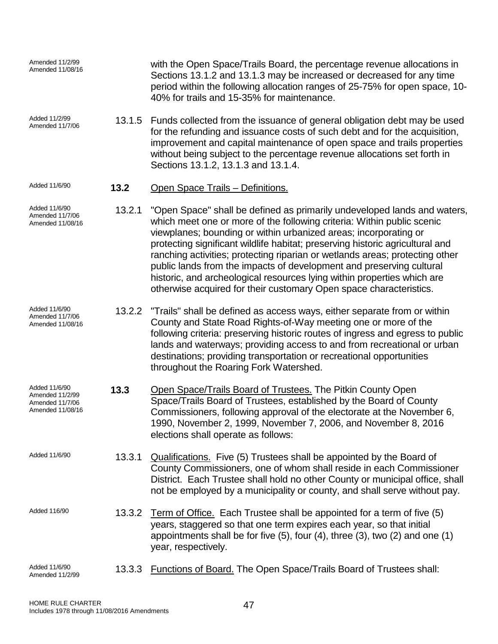| Amended 11/2/99<br>Amended 11/08/16                                     |        | with the Open Space/Trails Board, the percentage revenue allocations in<br>Sections 13.1.2 and 13.1.3 may be increased or decreased for any time<br>period within the following allocation ranges of 25-75% for open space, 10-<br>40% for trails and 15-35% for maintenance.                                                                                                                                                                                                                                                                                                                                    |
|-------------------------------------------------------------------------|--------|------------------------------------------------------------------------------------------------------------------------------------------------------------------------------------------------------------------------------------------------------------------------------------------------------------------------------------------------------------------------------------------------------------------------------------------------------------------------------------------------------------------------------------------------------------------------------------------------------------------|
| Added 11/2/99<br>Amended 11/7/06                                        | 13.1.5 | Funds collected from the issuance of general obligation debt may be used<br>for the refunding and issuance costs of such debt and for the acquisition,<br>improvement and capital maintenance of open space and trails properties<br>without being subject to the percentage revenue allocations set forth in<br>Sections 13.1.2, 13.1.3 and 13.1.4.                                                                                                                                                                                                                                                             |
| Added 11/6/90                                                           | 13.2   | Open Space Trails - Definitions.                                                                                                                                                                                                                                                                                                                                                                                                                                                                                                                                                                                 |
| Added 11/6/90<br>Amended 11/7/06<br>Amended 11/08/16                    | 13.2.1 | "Open Space" shall be defined as primarily undeveloped lands and waters,<br>which meet one or more of the following criteria: Within public scenic<br>viewplanes; bounding or within urbanized areas; incorporating or<br>protecting significant wildlife habitat; preserving historic agricultural and<br>ranching activities; protecting riparian or wetlands areas; protecting other<br>public lands from the impacts of development and preserving cultural<br>historic, and archeological resources lying within properties which are<br>otherwise acquired for their customary Open space characteristics. |
| Added 11/6/90<br>Amended 11/7/06<br>Amended 11/08/16                    | 13.2.2 | "Trails" shall be defined as access ways, either separate from or within<br>County and State Road Rights-of-Way meeting one or more of the<br>following criteria: preserving historic routes of ingress and egress to public<br>lands and waterways; providing access to and from recreational or urban<br>destinations; providing transportation or recreational opportunities<br>throughout the Roaring Fork Watershed.                                                                                                                                                                                        |
| Added 11/6/90<br>Amended 11/2/99<br>Amended 11/7/06<br>Amended 11/08/16 | 13.3   | Open Space/Trails Board of Trustees. The Pitkin County Open<br>Space/Trails Board of Trustees, established by the Board of County<br>Commissioners, following approval of the electorate at the November 6,<br>1990, November 2, 1999, November 7, 2006, and November 8, 2016<br>elections shall operate as follows:                                                                                                                                                                                                                                                                                             |
| Added 11/6/90                                                           | 13.3.1 | Qualifications. Five (5) Trustees shall be appointed by the Board of<br>County Commissioners, one of whom shall reside in each Commissioner<br>District. Each Trustee shall hold no other County or municipal office, shall<br>not be employed by a municipality or county, and shall serve without pay.                                                                                                                                                                                                                                                                                                         |
| Added 116/90                                                            | 13.3.2 | Term of Office. Each Trustee shall be appointed for a term of five (5)<br>years, staggered so that one term expires each year, so that initial<br>appointments shall be for five $(5)$ , four $(4)$ , three $(3)$ , two $(2)$ and one $(1)$<br>year, respectively.                                                                                                                                                                                                                                                                                                                                               |
| Added 11/6/90<br>Amended 11/2/99                                        | 13.3.3 | <b>Functions of Board.</b> The Open Space/Trails Board of Trustees shall:                                                                                                                                                                                                                                                                                                                                                                                                                                                                                                                                        |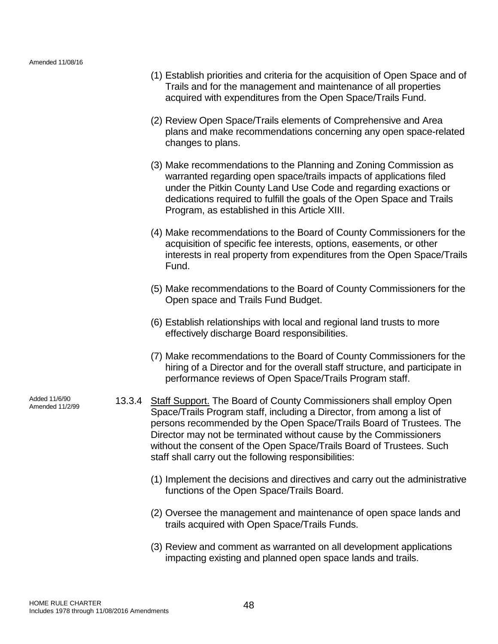- (1) Establish priorities and criteria for the acquisition of Open Space and of Trails and for the management and maintenance of all properties acquired with expenditures from the Open Space/Trails Fund.
- (2) Review Open Space/Trails elements of Comprehensive and Area plans and make recommendations concerning any open space-related changes to plans.
- (3) Make recommendations to the Planning and Zoning Commission as warranted regarding open space/trails impacts of applications filed under the Pitkin County Land Use Code and regarding exactions or dedications required to fulfill the goals of the Open Space and Trails Program, as established in this Article XIII.
- (4) Make recommendations to the Board of County Commissioners for the acquisition of specific fee interests, options, easements, or other interests in real property from expenditures from the Open Space/Trails Fund.
- (5) Make recommendations to the Board of County Commissioners for the Open space and Trails Fund Budget.
- (6) Establish relationships with local and regional land trusts to more effectively discharge Board responsibilities.
- (7) Make recommendations to the Board of County Commissioners for the hiring of a Director and for the overall staff structure, and participate in performance reviews of Open Space/Trails Program staff.
- 13.3.4 Staff Support. The Board of County Commissioners shall employ Open Space/Trails Program staff, including a Director, from among a list of persons recommended by the Open Space/Trails Board of Trustees. The Director may not be terminated without cause by the Commissioners without the consent of the Open Space/Trails Board of Trustees. Such staff shall carry out the following responsibilities:
	- (1) Implement the decisions and directives and carry out the administrative functions of the Open Space/Trails Board.
	- (2) Oversee the management and maintenance of open space lands and trails acquired with Open Space/Trails Funds.
	- (3) Review and comment as warranted on all development applications impacting existing and planned open space lands and trails.

Added 11/6/90<br>Amended 11/2/99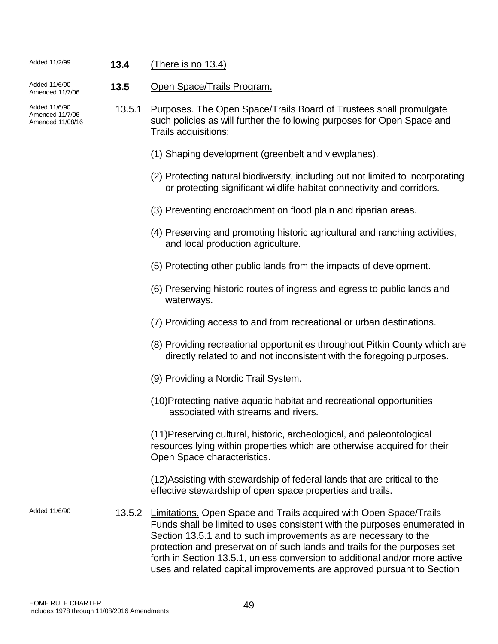# Added 11/2/99 **13.4** (There is no 13.4)

Added 11/6/90<br>Amended 11/7/06 13.5 Open Space/Trails Program.

Added 11/6/90

Amended 11/7/06 Amended 11/08/16

- 13.5.1 Purposes. The Open Space/Trails Board of Trustees shall promulgate such policies as will further the following purposes for Open Space and Trails acquisitions:
	- (1) Shaping development (greenbelt and viewplanes).
	- (2) Protecting natural biodiversity, including but not limited to incorporating or protecting significant wildlife habitat connectivity and corridors.
	- (3) Preventing encroachment on flood plain and riparian areas.
	- (4) Preserving and promoting historic agricultural and ranching activities, and local production agriculture.
	- (5) Protecting other public lands from the impacts of development.
	- (6) Preserving historic routes of ingress and egress to public lands and waterways.
	- (7) Providing access to and from recreational or urban destinations.
	- (8) Providing recreational opportunities throughout Pitkin County which are directly related to and not inconsistent with the foregoing purposes.
	- (9) Providing a Nordic Trail System.
	- (10)Protecting native aquatic habitat and recreational opportunities associated with streams and rivers.

(11)Preserving cultural, historic, archeological, and paleontological resources lying within properties which are otherwise acquired for their Open Space characteristics.

(12)Assisting with stewardship of federal lands that are critical to the effective stewardship of open space properties and trails.

Added 11/6/90 13.5.2 Limitations. Open Space and Trails acquired with Open Space/Trails Funds shall be limited to uses consistent with the purposes enumerated in Section 13.5.1 and to such improvements as are necessary to the protection and preservation of such lands and trails for the purposes set forth in Section 13.5.1, unless conversion to additional and/or more active uses and related capital improvements are approved pursuant to Section